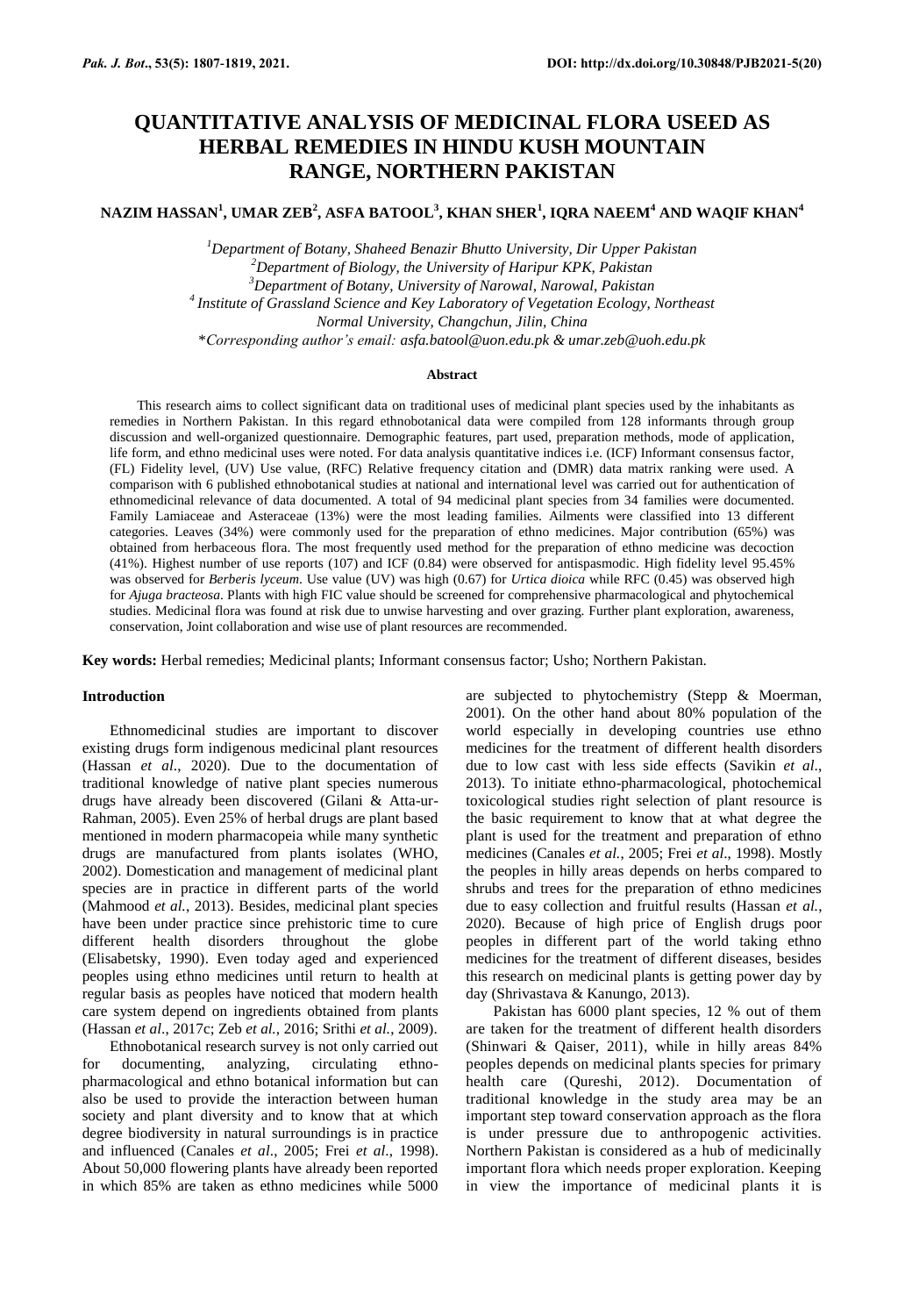# **QUANTITATIVE ANALYSIS OF MEDICINAL FLORA USEED AS HERBAL REMEDIES IN HINDU KUSH MOUNTAIN RANGE, NORTHERN PAKISTAN**

**NAZIM HASSAN<sup>1</sup> , UMAR ZEB<sup>2</sup> , ASFA BATOOL<sup>3</sup> , KHAN SHER<sup>1</sup> , IQRA NAEEM<sup>4</sup> AND WAQIF KHAN<sup>4</sup>**

*Department of Botany, Shaheed Benazir Bhutto University, Dir Upper Pakistan Department of Biology, the University of Haripur KPK, Pakistan Department of Botany, University of Narowal, Narowal, Pakistan Institute of Grassland Science and Key Laboratory of Vegetation Ecology, Northeast Normal University, Changchun, Jilin, China* \**Corresponding author's email: asfa.batool@uon.edu.pk & umar.zeb@uoh.edu.pk*

#### **Abstract**

This research aims to collect significant data on traditional uses of medicinal plant species used by the inhabitants as remedies in Northern Pakistan. In this regard ethnobotanical data were compiled from 128 informants through group discussion and well-organized questionnaire. Demographic features, part used, preparation methods, mode of application, life form, and ethno medicinal uses were noted. For data analysis quantitative indices i.e. (ICF) Informant consensus factor, (FL) Fidelity level, (UV) Use value, (RFC) Relative frequency citation and (DMR) data matrix ranking were used. A comparison with 6 published ethnobotanical studies at national and international level was carried out for authentication of ethnomedicinal relevance of data documented. A total of 94 medicinal plant species from 34 families were documented. Family Lamiaceae and Asteraceae (13%) were the most leading families. Ailments were classified into 13 different categories. Leaves (34%) were commonly used for the preparation of ethno medicines. Major contribution (65%) was obtained from herbaceous flora. The most frequently used method for the preparation of ethno medicine was decoction (41%). Highest number of use reports (107) and ICF (0.84) were observed for antispasmodic. High fidelity level 95.45% was observed for *Berberis lyceum*. Use value (UV) was high (0.67) for *Urtica dioica* while RFC (0.45) was observed high for *Ajuga bracteosa*. Plants with high FIC value should be screened for comprehensive pharmacological and phytochemical studies. Medicinal flora was found at risk due to unwise harvesting and over grazing. Further plant exploration, awareness, conservation, Joint collaboration and wise use of plant resources are recommended.

**Key words:** Herbal remedies; Medicinal plants; Informant consensus factor; Usho; Northern Pakistan.

## **Introduction**

Ethnomedicinal studies are important to discover existing drugs form indigenous medicinal plant resources (Hassan *et al*., 2020). Due to the documentation of traditional knowledge of native plant species numerous drugs have already been discovered (Gilani & Atta-ur-Rahman, 2005). Even 25% of herbal drugs are plant based mentioned in modern pharmacopeia while many synthetic drugs are manufactured from plants isolates (WHO, 2002). Domestication and management of medicinal plant species are in practice in different parts of the world (Mahmood *et al.*, 2013). Besides, medicinal plant species have been under practice since prehistoric time to cure different health disorders throughout the globe (Elisabetsky, 1990). Even today aged and experienced peoples using ethno medicines until return to health at regular basis as peoples have noticed that modern health care system depend on ingredients obtained from plants (Hassan *et al*., 2017c; Zeb *et al.,* 2016; Srithi *et al.*, 2009).

Ethnobotanical research survey is not only carried out for documenting, analyzing, circulating ethnopharmacological and ethno botanical information but can also be used to provide the interaction between human society and plant diversity and to know that at which degree biodiversity in natural surroundings is in practice and influenced (Canales *et al*., 2005; Frei *et al*., 1998). About 50,000 flowering plants have already been reported in which 85% are taken as ethno medicines while 5000 are subjected to phytochemistry (Stepp & Moerman, 2001). On the other hand about 80% population of the world especially in developing countries use ethno medicines for the treatment of different health disorders due to low cast with less side effects (Savikin *et al*., 2013). To initiate ethno-pharmacological, photochemical toxicological studies right selection of plant resource is the basic requirement to know that at what degree the plant is used for the treatment and preparation of ethno medicines (Canales *et al.*, 2005; Frei *et al*., 1998). Mostly the peoples in hilly areas depends on herbs compared to shrubs and trees for the preparation of ethno medicines due to easy collection and fruitful results (Hassan *et al.*, 2020). Because of high price of English drugs poor peoples in different part of the world taking ethno medicines for the treatment of different diseases, besides this research on medicinal plants is getting power day by day (Shrivastava & Kanungo, 2013).

Pakistan has 6000 plant species, 12 % out of them are taken for the treatment of different health disorders (Shinwari & Qaiser, 2011), while in hilly areas 84% peoples depends on medicinal plants species for primary health care (Qureshi, 2012). Documentation of traditional knowledge in the study area may be an important step toward conservation approach as the flora is under pressure due to anthropogenic activities. Northern Pakistan is considered as a hub of medicinally important flora which needs proper exploration. Keeping in view the importance of medicinal plants it is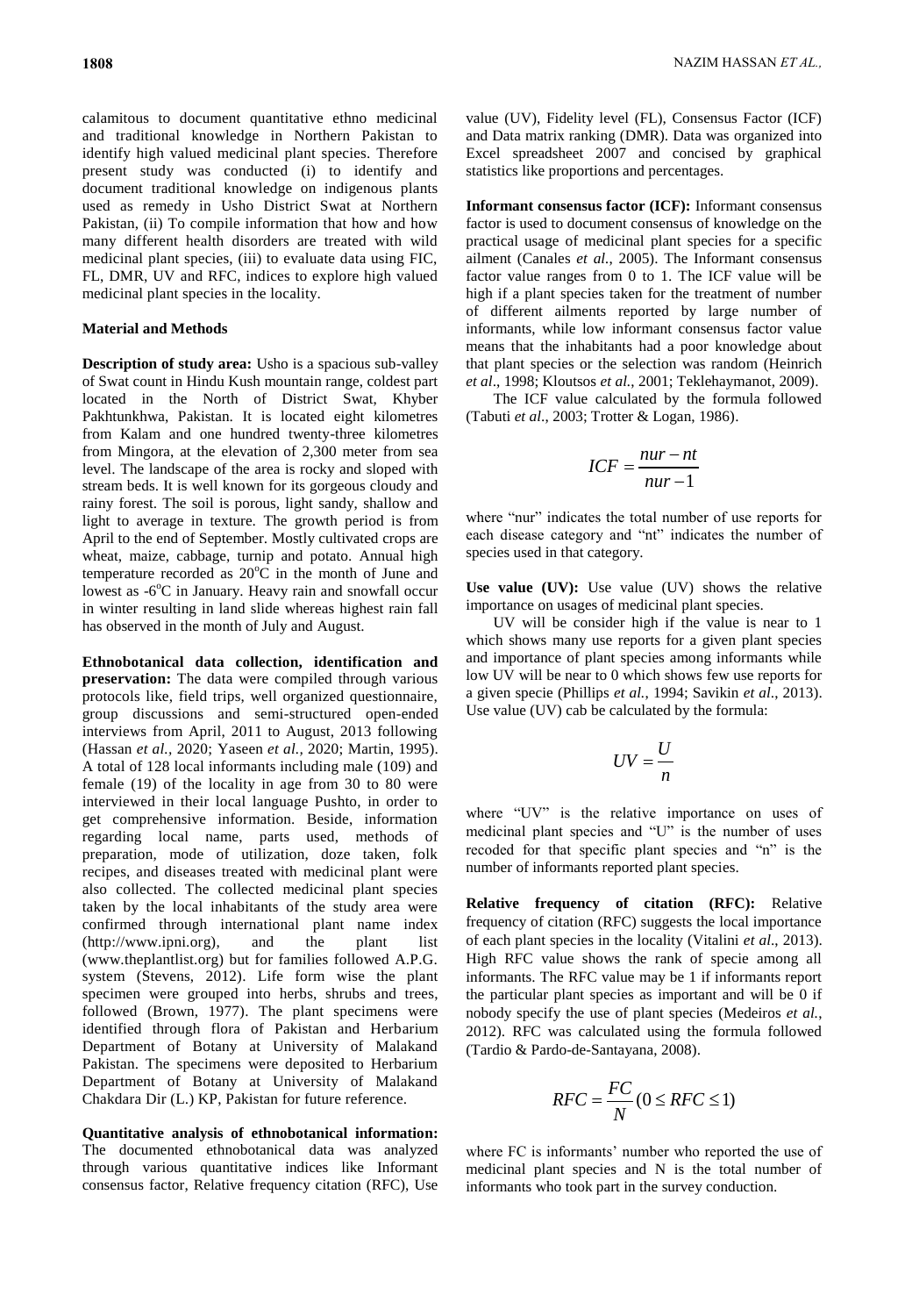calamitous to document quantitative ethno medicinal and traditional knowledge in Northern Pakistan to identify high valued medicinal plant species. Therefore present study was conducted (i) to identify and document traditional knowledge on indigenous plants used as remedy in Usho District Swat at Northern Pakistan, (ii) To compile information that how and how many different health disorders are treated with wild medicinal plant species, (iii) to evaluate data using FIC, FL, DMR, UV and RFC, indices to explore high valued medicinal plant species in the locality.

# **Material and Methods**

**Description of study area:** Usho is a spacious sub-valley of Swat count in Hindu Kush mountain range, coldest part located in the North of District Swat, Khyber Pakhtunkhwa, Pakistan. It is located eight kilometres from Kalam and one hundred twenty-three kilometres from Mingora, at the elevation of 2,300 meter from sea level. The landscape of the area is rocky and sloped with stream beds. It is well known for its gorgeous cloudy and rainy forest. The soil is porous, light sandy, shallow and light to average in texture. The growth period is from April to the end of September. Mostly cultivated crops are wheat, maize, cabbage, turnip and potato. Annual high temperature recorded as  $20^{\circ}$ C in the month of June and lowest as -6°C in January. Heavy rain and snowfall occur in winter resulting in land slide whereas highest rain fall has observed in the month of July and August.

**Ethnobotanical data collection, identification and preservation:** The data were compiled through various protocols like, field trips, well organized questionnaire, group discussions and semi-structured open-ended interviews from April, 2011 to August, 2013 following (Hassan *et al.,* 2020; Yaseen *et al.,* 2020; Martin, 1995). A total of 128 local informants including male (109) and female (19) of the locality in age from 30 to 80 were interviewed in their local language Pushto, in order to get comprehensive information. Beside, information regarding local name, parts used, methods of preparation, mode of utilization, doze taken, folk recipes, and diseases treated with medicinal plant were also collected. The collected medicinal plant species taken by the local inhabitants of the study area were confirmed through international plant name index (http://www.ipni.org), and the plant list (www.theplantlist.org) but for families followed A.P.G. system (Stevens, 2012). Life form wise the plant specimen were grouped into herbs, shrubs and trees, followed (Brown, 1977). The plant specimens were identified through flora of Pakistan and Herbarium Department of Botany at University of Malakand Pakistan. The specimens were deposited to Herbarium Department of Botany at University of Malakand Chakdara Dir (L.) KP, Pakistan for future reference.

**Quantitative analysis of ethnobotanical information:**  The documented ethnobotanical data was analyzed through various quantitative indices like Informant consensus factor, Relative frequency citation (RFC), Use

value (UV), Fidelity level (FL), Consensus Factor (ICF) and Data matrix ranking (DMR). Data was organized into Excel spreadsheet 2007 and concised by graphical statistics like proportions and percentages.

**Informant consensus factor (ICF):** Informant consensus factor is used to document consensus of knowledge on the practical usage of medicinal plant species for a specific ailment (Canales *et al.*, 2005). The Informant consensus factor value ranges from 0 to 1. The ICF value will be high if a plant species taken for the treatment of number of different ailments reported by large number of informants, while low informant consensus factor value means that the inhabitants had a poor knowledge about that plant species or the selection was random (Heinrich *et al*., 1998; Kloutsos *et al.*, 2001; Teklehaymanot, 2009).

The ICF value calculated by the formula followed (Tabuti *et al*., 2003; Trotter & Logan, 1986).

$$
ICF = \frac{nur - nt}{nur - 1}
$$

where "nur" indicates the total number of use reports for each disease category and "nt" indicates the number of species used in that category.

**Use value (UV):** Use value (UV) shows the relative importance on usages of medicinal plant species.

UV will be consider high if the value is near to 1 which shows many use reports for a given plant species and importance of plant species among informants while low UV will be near to 0 which shows few use reports for a given specie (Phillips *et al.*, 1994; Savikin *et al*., 2013). Use value (UV) cab be calculated by the formula:

$$
UV = \frac{U}{n}
$$

where "UV" is the relative importance on uses of medicinal plant species and "U" is the number of uses recoded for that specific plant species and "n" is the number of informants reported plant species.

**Relative frequency of citation (RFC):** Relative frequency of citation (RFC) suggests the local importance of each plant species in the locality (Vitalini *et al*., 2013). High RFC value shows the rank of specie among all informants. The RFC value may be 1 if informants report the particular plant species as important and will be 0 if nobody specify the use of plant species (Medeiros *et al.*, 2012). RFC was calculated using the formula followed (Tardio & Pardo-de-Santayana, 2008).

$$
RFC = \frac{FC}{N}(0 \le RFC \le 1)
$$

where FC is informants' number who reported the use of medicinal plant species and N is the total number of informants who took part in the survey conduction.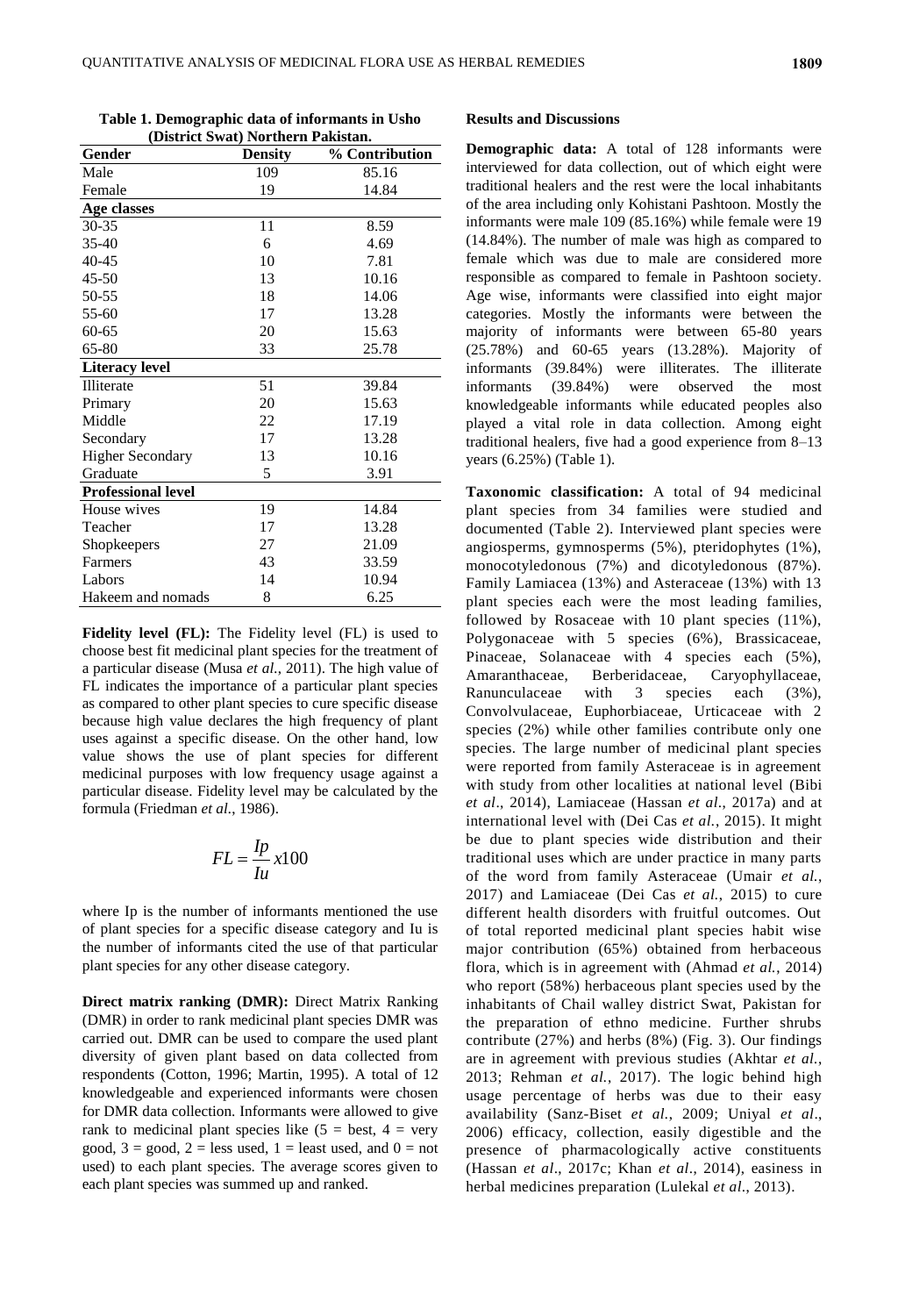**Table 1. Demographic data of informants in Usho (District Swat) Northern Pakistan.**

| Gender                    | <b>Density</b> | % Contribution |
|---------------------------|----------------|----------------|
| Male                      | 109            | 85.16          |
| Female                    | 19             | 14.84          |
| Age classes               |                |                |
| $30 - 35$                 | 11             | 8.59           |
| 35-40                     | 6              | 4.69           |
| 40-45                     | 10             | 7.81           |
| $45 - 50$                 | 13             | 10.16          |
| 50-55                     | 18             | 14.06          |
| 55-60                     | 17             | 13.28          |
| $60 - 65$                 | 20             | 15.63          |
| 65-80                     | 33             | 25.78          |
| <b>Literacy level</b>     |                |                |
| Illiterate                | 51             | 39.84          |
| Primary                   | 20             | 15.63          |
| Middle                    | 22             | 17.19          |
| Secondary                 | 17             | 13.28          |
| <b>Higher Secondary</b>   | 13             | 10.16          |
| Graduate                  | 5              | 3.91           |
| <b>Professional level</b> |                |                |
| House wives               | 19             | 14.84          |
| Teacher                   | 17             | 13.28          |
| Shopkeepers               | 27             | 21.09          |
| Farmers                   | 43             | 33.59          |
| Labors                    | 14             | 10.94          |
| Hakeem and nomads         | 8              | 6.25           |

**Fidelity level (FL):** The Fidelity level (FL) is used to choose best fit medicinal plant species for the treatment of a particular disease (Musa *et al.*, 2011). The high value of FL indicates the importance of a particular plant species as compared to other plant species to cure specific disease because high value declares the high frequency of plant uses against a specific disease. On the other hand, low value shows the use of plant species for different medicinal purposes with low frequency usage against a particular disease. Fidelity level may be calculated by the formula (Friedman *et al.*, 1986).

$$
FL = \frac{Ip}{Iu} x100
$$

where Ip is the number of informants mentioned the use of plant species for a specific disease category and Iu is the number of informants cited the use of that particular plant species for any other disease category.

**Direct matrix ranking (DMR):** Direct Matrix Ranking (DMR) in order to rank medicinal plant species DMR was carried out. DMR can be used to compare the used plant diversity of given plant based on data collected from respondents (Cotton, 1996; Martin, 1995). A total of 12 knowledgeable and experienced informants were chosen for DMR data collection. Informants were allowed to give rank to medicinal plant species like  $(5 = best, 4 = very)$ good,  $3 = \text{good}$ ,  $2 = \text{less used}$ ,  $1 = \text{least used}$ , and  $0 = \text{not}$ used) to each plant species. The average scores given to each plant species was summed up and ranked.

# **Results and Discussions**

**Demographic data:** A total of 128 informants were interviewed for data collection, out of which eight were traditional healers and the rest were the local inhabitants of the area including only Kohistani Pashtoon. Mostly the informants were male 109 (85.16%) while female were 19 (14.84%). The number of male was high as compared to female which was due to male are considered more responsible as compared to female in Pashtoon society. Age wise, informants were classified into eight major categories. Mostly the informants were between the majority of informants were between 65-80 years (25.78%) and 60-65 years (13.28%). Majority of informants (39.84%) were illiterates. The illiterate informants (39.84%) were observed the most knowledgeable informants while educated peoples also played a vital role in data collection. Among eight traditional healers, five had a good experience from 8–13 years (6.25%) (Table 1).

**Taxonomic classification:** A total of 94 medicinal plant species from 34 families were studied and documented (Table 2). Interviewed plant species were angiosperms, gymnosperms (5%), pteridophytes (1%), monocotyledonous (7%) and dicotyledonous (87%). Family Lamiacea (13%) and Asteraceae (13%) with 13 plant species each were the most leading families, followed by Rosaceae with 10 plant species (11%), Polygonaceae with 5 species (6%), Brassicaceae, Pinaceae, Solanaceae with 4 species each (5%), Amaranthaceae, Berberidaceae, Caryophyllaceae, Ranunculaceae with 3 species each (3%), Convolvulaceae, Euphorbiaceae, Urticaceae with 2 species (2%) while other families contribute only one species. The large number of medicinal plant species were reported from family Asteraceae is in agreement with study from other localities at national level (Bibi *et al*., 2014), Lamiaceae (Hassan *et al*., 2017a) and at international level with (Dei Cas *et al.*, 2015). It might be due to plant species wide distribution and their traditional uses which are under practice in many parts of the word from family Asteraceae (Umair *et al.*, 2017) and Lamiaceae (Dei Cas *et al.*, 2015) to cure different health disorders with fruitful outcomes. Out of total reported medicinal plant species habit wise major contribution (65%) obtained from herbaceous flora, which is in agreement with (Ahmad *et al.*, 2014) who report (58%) herbaceous plant species used by the inhabitants of Chail walley district Swat, Pakistan for the preparation of ethno medicine. Further shrubs contribute (27%) and herbs (8%) (Fig. 3). Our findings are in agreement with previous studies (Akhtar *et al.*, 2013; Rehman *et al.*, 2017). The logic behind high usage percentage of herbs was due to their easy availability (Sanz-Biset *et al.*, 2009; Uniyal *et al*., 2006) efficacy, collection, easily digestible and the presence of pharmacologically active constituents (Hassan *et al*., 2017c; Khan *et al*., 2014), easiness in herbal medicines preparation (Lulekal *et al*., 2013).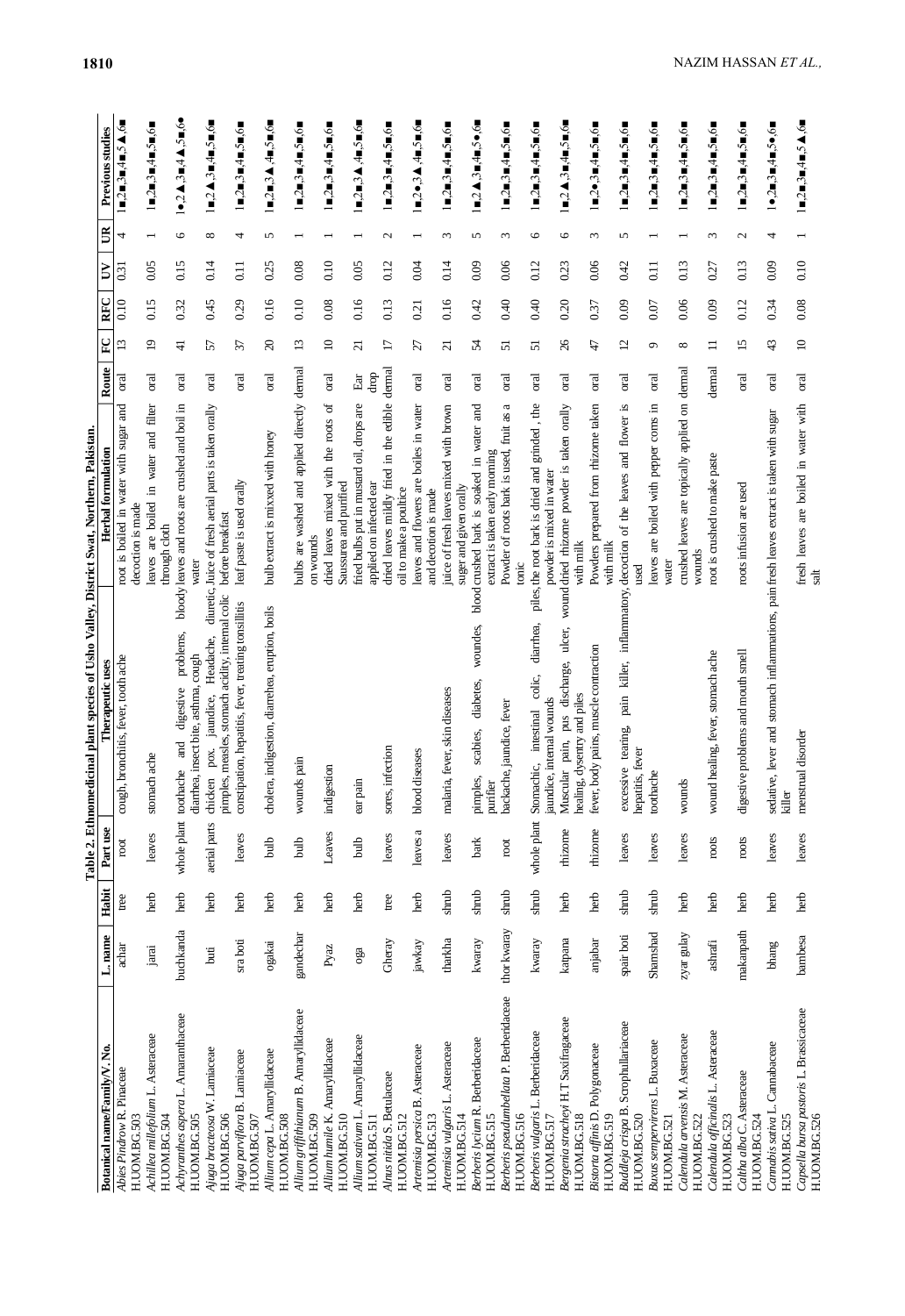|                                                          |                         |       |                       | Table 2. Ethnomedicinal plant species of Usho Valley, District Swat, Northern, Pakistan.       |                                                                                     |                                         |                 |           |                  |                          |                                                                                                                 |
|----------------------------------------------------------|-------------------------|-------|-----------------------|------------------------------------------------------------------------------------------------|-------------------------------------------------------------------------------------|-----------------------------------------|-----------------|-----------|------------------|--------------------------|-----------------------------------------------------------------------------------------------------------------|
| Botanical name/Family/V. No.                             | L. name                 | Habit | Part use              | Therapeutic uses                                                                               | Herbal formulation                                                                  | Route                                   | P               | RFC       | ₿                | $\mathbb{B}$             | Previous studies                                                                                                |
| Abies Pindrow R. Pinaceae<br>H.UOM.BG.503                | achar                   | tree  | root                  | h, bronchitis, fever, tooth ache<br>cough                                                      | and<br>root is boiled in water with sugar<br>decoction is made                      | oral                                    | 13              | $_{0.10}$ | 0.31             | 4                        | ■,2■,3■,4■,5▲,6■                                                                                                |
| Achillea millefolium L. Asteraceae<br>H.UOM.BG.504       | jaraj                   | herb  | leaves                | stomach ache                                                                                   | in water and filter<br>are boiled<br>through cloth<br>leaves                        | oral                                    | $\overline{19}$ | 0.15      | 0.05             |                          | l∎,2■,3■,4■,5■,6■                                                                                               |
| Achyranthes aspera L. Amaranthaceae<br>H.UOM.BG.505      | buchkanda               | herb  | whole plant toothache | problems,<br>diarrhea, insect bite, asthma, cough<br>digestive<br>and                          | bloody leaves and roots are crushed and boil in<br>water                            | oral                                    | $\frac{1}{4}$   | 0.32      | 0.15             | 9                        | $1\bullet$ ,2 $\blacktriangle$ ,3 $\blacksquare$ ,4 $\blacktriangle$ ,5 $\blacksquare$ ,6 $\bullet$             |
| Ajuga bracteosa W. Lamiaceae<br>H.UOM.BG.506             | buti                    | herb  | aerial parts          | pimples, measles, stomach acidity, internal colic<br>Headache,<br>jaundice,<br>pox.<br>chicken | diuretic, Juice of fresh aerial parts is taken orally<br>before breakfast           | oral                                    | 57              | 0.45      | 0.14             | ${}^{\circ}$             | $1 = 2 \mathbf{A}$ , $3 = 4 = 5 \mathbf{m}$ , $6 =$                                                             |
| Ajuga parviflora B. Lamiaceae<br>H.UOM.BG.507            | sraboti                 | herb  | leaves                | constipation, hepatitis, fever, treating tonsillitis                                           | leaf paste is used orally                                                           | oral                                    | 37              | 0.29      | $\overline{0}$ . | 4                        | 1∎,2∎,3∎,4∎,5∎,6∎                                                                                               |
| Allium cepa L. Amaryllidaceae<br>H.UOM.BG.508            | ogakai                  | herb  | duid                  | ra, indigestion, diarrehea, eruption, boils<br>choler                                          | bulb extract is mixxed with honey                                                   | <b>Tal</b>                              | $\Omega$        | 0.16      | 0.25             | 5                        | $1$ =,2 =,3 A ,4 =,5 =,6 =                                                                                      |
| Allium griffthianum B. Amaryllidaceae<br>H.UOM.BG.509    | gandechar               | herb  | dud                   | wounds pain                                                                                    | bulbs are washed and applied directly<br>on wounds                                  | dermal                                  | 13              | 0.10      | 0.08             |                          | 1∎,2■,3■,4■,5■,6■                                                                                               |
| Allium humile K. Amaryllidaceae<br>H.UOM.BG.510          | Pyaz                    | herb  | Leaves                | indigestion                                                                                    | ď<br>with the roots<br>Saussurea and purified<br>mixed<br>dried leaves              | oral                                    | $\equiv$        | 0.08      | 0.10             |                          | $1 = 2 = 3 = 4 = 5 = 6$                                                                                         |
| Amaryllidaceae<br>Allium sativum L.<br>H.UOM.BG.511      | oga                     | herb  | dlud                  | ear pain                                                                                       | fried bulbs put in mustard oil, drops are<br>applied on infected ear                | drop<br>$\mathop{\mathrm{Eu}}\nolimits$ | $\overline{21}$ | 0.16      | 0.05             |                          | $\blacksquare$ ,2 $\blacksquare$ ,3 $\blacktriangle$ ,4 $\blacksquare$ ,5 $\blacksquare$ ,6 $\blacksquare$      |
| Alnus nitida S. Betulaceae<br>H.UOM.BG.512               | Gheray                  | tree  | leaves                | infection<br>sores,                                                                            | dried leaves mildly fried in the edible<br>oil to make a poultice                   | dermal                                  | $\overline{17}$ | 0.13      | 0.12             | $\mathbf{c}$             | 1∎,2∎,3∎,4∎,5∎,6∎                                                                                               |
| Artemisia persica B. Asteraceae<br>H.UOM.BG.513          | jawkay                  | herb  | leaves a              | diseases<br>blood                                                                              | leaves and flowers are boiles in water<br>and decotion is made                      | oral                                    | 27              | 0.21      | 0.04             |                          | $\blacksquare$ ,2 $\bullet$ ,3 $\blacktriangle$ ,4 $\blacksquare$ ,5 $\blacksquare$ ,6 $\blacksquare$           |
| Artemisia vulgaris L. Asteraceae<br>H.UOM.BG.514         | tharkha                 | shrub | leaves                | malaria, fever, skin diseases                                                                  | juice of fresh leaves mixed with brown<br>suger and given orally                    | oral                                    | $\overline{c}$  | 0.16      | 0.14             | 3                        | $1 = 2 = 3 = 4 = 5 = 6$                                                                                         |
| Berberis lycium R. Berberidaceae<br>H.UOM.BG.515         | kwaray                  | shrub | bark                  | woundes,<br>diabetes,<br>scabies,<br>pimples,<br>purifier                                      | and<br>in water<br>extract is taken early morning<br>blood crushed bark is soaked   | oral                                    | 54              | 0.42      | 0.09             | 5                        | $\blacksquare$ ,2 $\blacktriangle$ ,3 $\blacksquare$ ,4 $\blacksquare$ ,5 $\bullet$ ,6 $\blacksquare$           |
| Berberis pseudumbellata P. Berberidaceae<br>H.UOM.BG.516 | thor kwaray             | shrub | $_{\rm root}$         | backache, jaundice, fever                                                                      | Powder of roots bark is used, fruit as a<br>tonic                                   | oral                                    | 51              | 0.40      | 0.06             | $\epsilon$               | $1 = 2 = 3 = 4 = 5 = 6$                                                                                         |
| Berberis vulgaris L. Berberidaceae<br>H.UOM.BG.517       | kwaray                  | shrub | whole plant           | diarrhea,<br>colic,<br>jaundice, internal wounds<br>intestinal<br>Stomachic,                   | $,$ the<br>piles, the root bark is dried and grinded<br>powder is mixed in water    | oral                                    | $\overline{51}$ | 0.40      | 0.12             | $\circ$                  | $1 = 2 = 3 = 4 = 5 = 6$                                                                                         |
| Bergenia stracheyi H.T Saxifragaceae<br>H.UOM.BG.518     | katpana                 | herb  | thizome               | ulcer,<br>pus discharge,<br>healing, dysentry and piles<br>Muscular pain,                      | wound dried rhizome powder is taken orally<br>with milk                             | oral                                    | 26              | 0.20      | 0.23             | 9                        | $1$ =,2 $\triangle$ ,3=,4=,5=,6=                                                                                |
| Bistorta affinis D. Polygonaceae<br>H.UOM.BG.519         | anjabar                 | herb  | thizome               | body pains, muscle contraction<br>fever,                                                       | Powders prepared from rhizome taken<br>with milk                                    | σal                                     | 47              | 0.37      | 0.06             | $\epsilon$               | 1∎,2●,3∎,4∎,5∎,6∎                                                                                               |
| Buddleja crispa B. Scrophullariaceae<br>H.UOM.BG.520     | spair boti              | shrub | leaves                | excessive tearing,<br>hepatitis, fever                                                         | pain killer, inflammatory, decoction of the leaves and flower is<br>used            | oral                                    | 12              | 0.09      | 0.42             | 5                        | $1 \blacksquare$ , $2 \blacksquare$ , $3 \blacksquare$ , $4 \blacksquare$ , $5 \blacksquare$ , $6 \blacksquare$ |
| Buxus sempervirens L. Buxaceae<br>H.UOM.BG.521           | Shamshad                | shrub | leaves                | toothache                                                                                      | leaves are boiled with pepper coms in<br>water                                      | oral                                    | ç               | 0.07      | $\overline{0}$   | $\overline{ }$           | 1∎,2∎,3∎,4∎,5∎,6∎                                                                                               |
| Calendula arvensis M. Asteraceae<br>H.UOM.BG.522         | zyar gulay              | herb  | leaves                | wounds                                                                                         | crushed leaves are topically applied on<br>wounds                                   | dermal                                  | ${}^{\circ}$    | 0.06      | 0.13             | $\overline{\phantom{0}}$ | $1 \blacksquare$ , $2 \blacksquare$ , $3 \blacksquare$ , $4 \blacksquare$ , $5 \blacksquare$ , $6 \blacksquare$ |
| Calendula officinalis L. Asteraceae<br>H.UOM.BG.523      | $\operatorname{ashraf}$ | herb  | roots                 | wound healing, fever, stomach ache                                                             | root is crushed to make paste                                                       | dermal                                  | $\equiv$        | 0.09      | 0.27             | $\epsilon$               | $1 = 2 = 3 = 4 = 5 = 6$                                                                                         |
| Caltha alba C. Asteraceae<br>H.UOM.BG.524                | makanpath               | herb  | roots                 | digestive problems and mouth smell                                                             | roots infusion are used                                                             | oral                                    | 15              | 0.12      | 0.13             | $\mathbf{c}$             | $1 = 2 = 3 = 4 = 5 = 6$                                                                                         |
| Cannabaceae<br>Cannabis sativa L.<br>H.UOM.BG.525        | bhang                   | herb  | leaves                | sedati<br>killer                                                                               | ive, lever and stomach inflammations, pain fresh leaves extract is taken with sugar | σal                                     | 43              | 0.34      | 0.09             | 4                        | 1●,2■,3■,4■,5●,6■                                                                                               |
| Capsella bursa pastoris L. Brassicaceae<br>H.UOM.BG.526  | bambesa                 | herb  | leaves                | menstrual disorder                                                                             | fresh leaves are boiled in water with<br>salt                                       | oral                                    | $\approx$       | 0.08      | 0.10             |                          | $1 = 2 = 3 = 4 = 5 \blacktriangle$ ,6                                                                           |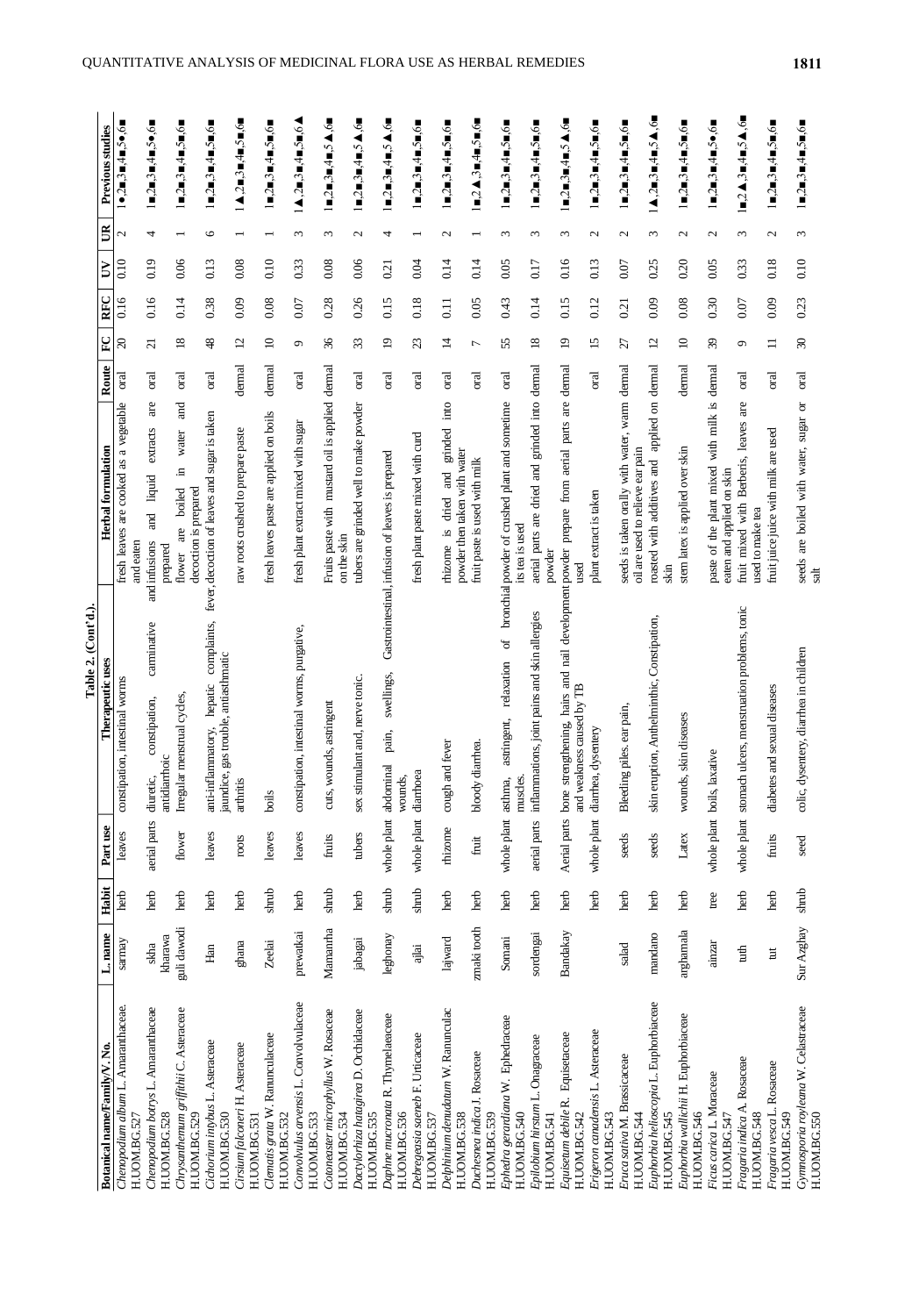|                                                        |             |                 |                     | Table 2. (Cont'd.).                                                                                                           |                                                                                          |           |                 |                  |      |                   |                                                                                                                 |
|--------------------------------------------------------|-------------|-----------------|---------------------|-------------------------------------------------------------------------------------------------------------------------------|------------------------------------------------------------------------------------------|-----------|-----------------|------------------|------|-------------------|-----------------------------------------------------------------------------------------------------------------|
| Botanical name/Family/V. No.                           | L. name     | Habit           | Part use            | Therapeutic uses                                                                                                              | Herbal formulation                                                                       | Route     | $\mathbf{F}$    | RFC              | Š    | $\mathbb{B}$      | Previous studies                                                                                                |
| Chenopodium album L. Amaranthaceae.<br>H.UOM.BG.52     | sarmay      | herb            | leaves              | constipation, intestinal worms                                                                                                | fresh leaves are cooked as a vegetable                                                   | oral      | $\Omega$        | 0.16             | 0.10 | $\mathcal{L}$     | 1●,2■,3■,4■,5●,6■                                                                                               |
| Chenopodium botrys L. Amaranthaceae                    | skha        | herb            | aerial parts        | carminative<br>constipation,<br>diuretic,                                                                                     | are<br>extracts<br>liquid<br>$\overline{a}$<br>and infusions<br>and eaten                | oral      | $\overline{c}$  | 0.16             | 0.19 | 4                 | $1 = 2 = 3 = 4 = 5 \bullet 6 =$                                                                                 |
| H.UOM.BG.528                                           | kharawa     |                 |                     | hoic<br>antidiard                                                                                                             | prepared                                                                                 |           |                 |                  |      |                   |                                                                                                                 |
| Chrysanthemum griffthii C. Asteraceae<br>H.UOM.BG.529  | guli dawodi | herb            | flower              | menstrual cycles,<br>Irregular                                                                                                | and<br>water<br>급.<br>decoction is prepared<br>boiled<br>are<br>flower                   | oral      | $18\,$          | 0.14             | 0.06 |                   | 1∎,2∎,3∎,4∎,5∎,6∎                                                                                               |
| Cichorium intybus L. Asteraceae<br>H.UOM.BG.530        | Han         | herb            | leaves              | complaints,<br>gas trouble, antiasthmatic<br>hepatic<br>anti-inflammatory,<br>jaundice                                        | fever, decoction of leaves and sugar is taken                                            | oral      | $\frac{8}{3}$   | 0.38             | 0.13 | $\circ$           | $1 = 2 = 3 = 4 = 5 = 6$                                                                                         |
| Cirsium falconeri H. Asteraceae<br>H.UOM.BG.531        | ghana       | herb            | roots               | arthritis                                                                                                                     | raw roots crushed to prepare paste                                                       | dermal    | $\overline{c}$  | 0.09             | 0.08 |                   | $1\,\mathbf{A}$ ,2m,3m,4m,5m,6m                                                                                 |
| Clematis grata W. Ranunculaceae<br>H.UOM.BG.532        | Zeelai      | shrub           | leaves              | boils                                                                                                                         | fresh leaves paste are applied on boils                                                  | dermal    | $\supseteq$     | 0.08             | 0.10 |                   | 1■2■3■4■5■6■                                                                                                    |
| Convolvulus arvensis L. Convolvulaceae<br>H.UOM.BG.533 | prewatkai   | herb            | leaves              | constipation, intestinal worms, purgative,                                                                                    | fresh plant extract mixed with sugar                                                     | oral      | $\sigma$        | 0.07             | 0.33 | 3                 | $\blacktriangle$ ,2 $\blacksquare$ ,3 $\blacksquare$ ,4 $\blacksquare$ ,5 $\blacksquare$ ,6 $\blacktriangle$    |
| Cotoneaster microphyllus W. Rosaceae<br>H.UOM.BG.534   | Mamanrha    | shrub           | fruits              | cuts, wounds, astringent                                                                                                      | Fruits paste with mustard oil is applied<br>on the skin                                  | $d$ ermal | 36              | 0.28             | 0.08 | 3                 | $1 = 2 = 3 = 4 = 5 \blacktriangle$ ,6                                                                           |
| Dactylorhiza hatagirea D. Orchidaceae<br>H.UOM.BG.535  | jabagai     | herb            | tubers              | sex stimulant and, nerve tonic.                                                                                               | tubers are grinded well to make powder                                                   | oral      | 33              | 0.26             | 0.06 | $\mathbf 2$       | $1 = 2 = 3 = 4 = 5 \blacktriangle$ ,6                                                                           |
| Daphne mucronata R. Thymelaeaceae<br>H.UOM.BG.536      | leghonay    | sh <sub>1</sub> | whole plant         | swellings,<br>pain,<br>abdominal<br>wounds,                                                                                   | Gastrointestinal, infusion of leaves is prepared                                         | oral      | $\Xi$           | 0.15             | 0.21 | 4                 | l■2■3■4■5▲,6■                                                                                                   |
| Debregeasia saeneb F. Urticaceae<br>H.UOM.BG.537       | ajlai       | shrub           | whole plant         | diarrhoea                                                                                                                     | fresh plant paste mixed with curd                                                        | oral      | 23              | 0.18             | 0.04 |                   | 1∎,2∎,3∎,4∎,5∎,6∎                                                                                               |
| Delphinium denudatum W. Ranunculac<br>H.UOM.BG.538     | lajward     | herb            | rhizorne            | cough and fever                                                                                                               | int <sub>0</sub><br>grinded<br>powder then taken with water<br>ad<br>dried<br>thizome is | oral      | $\vec{a}$       | $\overline{0}$ . | 0.14 | $\mathcal{L}$     | 1∎,2∎,3∎,4∎,5∎,6∎                                                                                               |
| Duchesnea indica J. Rosaceae<br>H.UOM.BG.539           | zmaki tooth | herb            | fruit               | liarrhea.<br>bloody d                                                                                                         | fruit paste is used with milk                                                            | oral      | $\overline{ }$  | 0.05             | 0.14 |                   | $l = 2 \mathbf{A}$ ,3e,4e,5e,6e                                                                                 |
| Ephedra gerardiana W. Ephedraceae<br>H.UOM.BG.540      | Somani      | herb            | whole plant asthma, | $\sigma$<br>relaxation<br>astringent,<br>muscles.                                                                             | bronchial powder of crushed plant and sometime<br>its tea is used                        | oral      | 55              | 0.43             | 0.05 | $\epsilon$        | $1 = 2 = 3 = 4 = 5 = 6$                                                                                         |
| Epilobium hirstum L. Onagraceae<br>H.UOM.BG.541        | sordengai   | herb            | aerial parts        | inflammations, joint pains and skin allergies                                                                                 | aerial parts are dried and grinded into dermal<br>powder                                 |           | $\overline{18}$ | 0.14             | 0.17 | $\epsilon$        | l■,2■,3■,4■,5■,6■                                                                                               |
| Equisetaceae<br>Equisetum debile R.<br>H.UOM.BG.542    | Bandakay    | herb            |                     | Aerial parts bone strengthening, hairs and nail development powder prepare from aerial parts are<br>and weakness caused by TB | used                                                                                     | dermal    | $\overline{19}$ | 0.15             | 0.16 | 3                 | $1 = 2 = 3 = 4 = 5 \blacktriangle$ ,6                                                                           |
| Erigeron canadensis L. Asteraceae<br>H.UOM.BG.543      |             | herb            | whole plant         | dysentery<br>diarrhea,                                                                                                        | plant extract is taken                                                                   | oral      | 15              | 0.12             | 0.13 | $\mathbf{c}$      | l∎,2∎,3∎,4∎,5∎,6∎                                                                                               |
| Eruca sativa M. Brassicaceae<br>H.UOM.BG.544           | salad       | herb            | seeds               | Bleeding piles. ear pain,                                                                                                     | seeds is taken orally with water, warm dermal<br>oil are used to relieve ear pain        |           | 27              | 0.21             | 0.07 | $\mathbf{c}$      | $1 = 2 = 3 = 4 = 5 = 6$                                                                                         |
| Euphorbia helioscopia L. Euphorbiaceae<br>H.UOM.BG.545 | mandano     | herb            | seeds               | skin eruption, Anthelminthic, Constipation,                                                                                   | applied on dermal<br>roasted with additives and<br>skin                                  |           | $\overline{c}$  | 0.09             | 0.25 | $\epsilon$        | $\blacktriangle$ ,2=,3=,4=,5 $\blacktriangle$ ,6=                                                               |
| Euphorbia wallichii H. Euphorbiaceae<br>H.UOM.BG.546   | arghamala   | herb            | Latex               | skin diseases<br>wounds,                                                                                                      | stem latex is applied over skin                                                          | dermal    | $\Xi$           | 0.08             | 0.20 | $\mathcal{L}$     | $1 = 2 = 3 = 4 = 5 = 6$                                                                                         |
| Ficus carica L. Moraceae<br>H.UOM.BG.547               | ainzar      | tree            |                     | whole plant boils, laxative                                                                                                   | paste of the plant mixed with milk is dermal<br>eaten and applied on skin                |           | 39              | 0.30             | 0.05 | $\mathbf{\Omega}$ | l∎,2∎,3∎,4∎,5●,6∎                                                                                               |
| Rosaceae<br>Fragaria indica A.<br>H.UOM.BG.548         | tuth        | herb            |                     | ulcers, menstruation problems, tonic<br>whole plant stomach                                                                   | are<br>fruit mixed with Berberis, leaves<br>used to make tea                             | oral      | $\circ$         | 0.07             | 0.33 | $\omega$          | $1$ =,2 $\blacktriangle$ ,3=,4=,5 $\blacktriangle$ ,6=                                                          |
| Rosaceae<br>Fragaria vesca L.<br>H.UOM.BG.549          | Ħ           | herb            | fruits              | and sexual diseases<br>diabetes                                                                                               | fruit juice juice with milk are used                                                     | oral      | $\Xi$           | 0.09             | 0.18 | $\mathbf{\Omega}$ | $\blacksquare$ ,2 $\blacksquare$ ,3 $\blacksquare$ ,4 $\blacksquare$ ,5 $\blacksquare$ ,6 $\blacksquare$        |
| Gynnosporia royleana W. Celastraceae<br>H.UOM.BG.550   | Sur Azghay  | shrub           | seed                | colic, dysentery, diarrhea in children                                                                                        | seeds are boiled with water, sugar or<br>salt                                            | oral      | $\infty$        | 0.23             | 0.10 | $\epsilon$        | $1 \blacksquare$ , $2 \blacksquare$ , $3 \blacksquare$ , $4 \blacksquare$ , $5 \blacksquare$ , $6 \blacksquare$ |

H.UOM.BG.550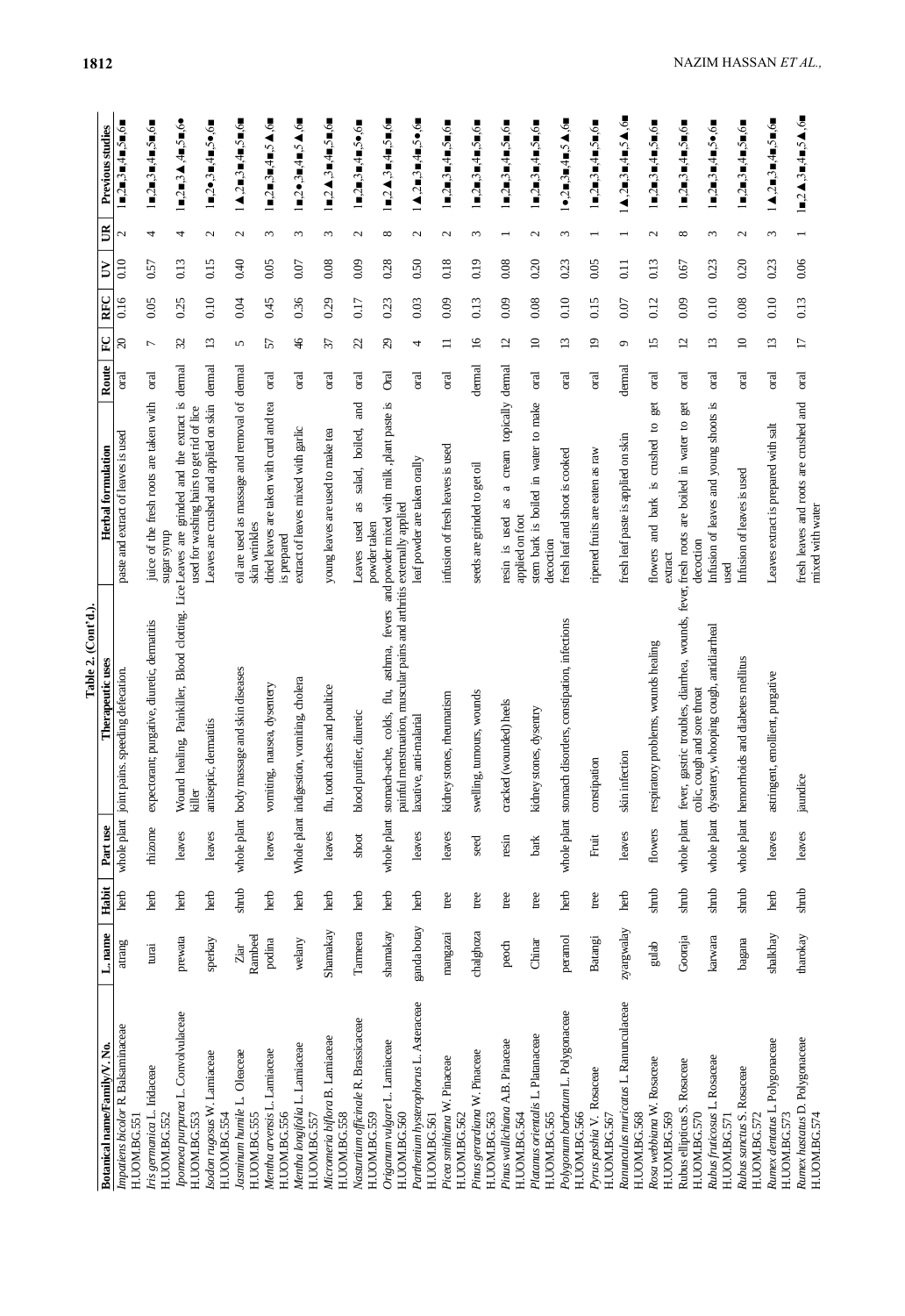|                                                        |                 |                 |                     | Table 2. (Cont'd.)                                                                                                            |                                                                                              |                |                 |      |                  |                          |                                                                                                                 |
|--------------------------------------------------------|-----------------|-----------------|---------------------|-------------------------------------------------------------------------------------------------------------------------------|----------------------------------------------------------------------------------------------|----------------|-----------------|------|------------------|--------------------------|-----------------------------------------------------------------------------------------------------------------|
| Botanical name/Family/V. No.                           | L. name         | Habit           | Part use            | Therapeutic uses                                                                                                              | <b>Herbal</b> formulation                                                                    | Route          | P               | RFC  | ₿                | $\mathbb B$              | Previous studies                                                                                                |
| Impatiens bicolor R. Balsaminaceae<br>H.UOM.BG.551     | atrang          | herb            | whole plant joint p | ains. speeding defecation.                                                                                                    | paste and extract of leaves is used                                                          | oral           | $\infty$        | 0.16 | $_{0.10}$        | $\mathcal{L}$            | ■,2■,3■,4■,5■,6■                                                                                                |
| Iris germanica L. Iridaceae<br>H.UOM.BG.552            | turai           | herb            | thizome             | expectorant; purgative, diuretic, dermatitis                                                                                  | juice of the fresh roots are taken with<br>dhuƙs mans                                        | oral           | $\overline{ }$  | 0.05 | 0.57             | 4                        | l■,2■,3■,4■,5■,6■                                                                                               |
| Ipomoea purpurea L. Convolvulaceae<br>H.UOM.BG.553     | prewata         | herb            | leaves              | Wound healing, Painkiller, Blood clotting. Lice Leaves are<br>killer                                                          | grinded and the extract is<br>used for washing hairs to get rid of lice                      | dermal         | $\mathfrak{L}$  | 0.25 | 0.13             | 4                        | 1∎,2■,3▲,4■,5■,6●                                                                                               |
| Isodon rugosus W. Lamiaceae<br>H.UOM.BG.554            | sperkay         | herb            | leaves              | antiseptic, dermatitis                                                                                                        | Leaves are crushed and applied on skin                                                       | dernal         | $\overline{13}$ | 0.10 | 0.15             | N                        | l∎,2•,3∎,4∎,5•,6∎                                                                                               |
| Jasminum humile L. Oleaceae<br>H.UOM.BG.555            | Rambeel<br>Ziar | shrub           |                     | whole plant body massage and skin diseases                                                                                    | oil are used as massage and removal of<br>skin wrinkles                                      | dermal         | 5               | 0.04 | 0.40             | $\mathcal{L}$            | $\blacktriangle$ ,2 $\blacksquare$ ,3 $\blacksquare$ ,4 $\blacksquare$ ,5 $\blacksquare$ ,6 $\blacksquare$      |
| Mentha arvensis L. Lamiaceae<br>H.UOM.BG.556           | podina          | herb            | leaves              | vomiting, nausea, dysentery                                                                                                   | dried leaves are taken with curd and tea<br>is prepared                                      | oral           | 57              | 0.45 | 0.05             | $\omega$                 | $1 = 2 = 3 = 4 = 5 \triangle$ ,6                                                                                |
| Mentha longifolia L. Lamiaceae<br>H.UOM.BG.557         | welany          | herb            |                     | Whole plant indigestion, vomiting, cholera                                                                                    | extract of leaves mixed with garlic                                                          | oral           | $\frac{4}{6}$   | 0.36 | 0.07             | $\epsilon$               | $1 = 2 \bullet 3 = 4 = 5 \spadesuit 6 =$                                                                        |
| Micromeria biflora B. Lamiaceae<br>H.UOM.BG.558        | Shamakay        | herb            | leaves              | flu, tooth aches and poultice                                                                                                 | young leaves are used to make tea                                                            | <sub>ora</sub> | 21              | 0.29 | 0.08             | $\sim$                   | 1∎,2▲,3∎,4∎,5∎,6∎                                                                                               |
| Nasturtium officinale R. Brassicaceae<br>H.UOM.BG.559  | Tarneera        | herb            | shoot               | purifier, diuretic<br>blood <sub>1</sub>                                                                                      | Бщ<br>boiled,<br>salad,<br>as<br>used<br>powder taken<br>Leaves                              | oral           | 22              | 0.17 | 0.09             | $\mathbf{\Omega}$        | $1 = 2 = 3 = 4 = 5 \bullet 6 =$                                                                                 |
| Origanum vulgare L. Lamiaceae<br>H.UOM.BG.560          | shamakay        | herb            | whole plant         | painful menstruation, muscular pains and arthritis externally applied<br>fevers<br>asthma,<br>flu,<br>colds,<br>stomach-ache, | and powder mixed with milk, plant paste is                                                   | <b>Oral</b>    | $\mathcal{S}$   | 0.23 | 0.28             | ${}^{\circ}$             | $1$ = $2$ $\blacktriangle$ $3$ = $4$ = $5$ = $6$ =                                                              |
| Parthenium hysterophorus L. Asteraceae<br>H.UOM.BG.561 | ganda botay     | herb            | leaves              | /e, anti-malarial<br>laxativ                                                                                                  | leaf powder are taken orally                                                                 | oral           | 4               | 0.03 | 0.50             | $\mathcal{L}$            | $\blacktriangle, 2 = 3 = 4 = 5 \bullet 6 =$                                                                     |
| Picea smithiana W. Pinaceae<br>H.UOM.BG.562            | mangazai        | tree            | leaves              | kidney stones, rheumatism                                                                                                     | infusion of fresh leaves is used                                                             | oral           | $\Box$          | 0.09 | 0.18             | $\mathbf{\Omega}$        | l∎,2∎,3∎,4∎,5∎,6∎                                                                                               |
| Pinus gerardiana W. Pinaceae<br>H.UOM.BG.563           | chalghoza       | tree            | seed                | swelling, tumours, wounds                                                                                                     | seeds are grinded to get oil                                                                 | dermal         | $\Xi$           | 0.13 | 0.19             | $\epsilon$               | L∎,2■,3■,4■,5■,6■                                                                                               |
| Pinus wallichiana A.B. Pinaceae<br>H.UOM.BG.564        | peoch           | tree            | resin               | cracked (wounded) heels                                                                                                       | topically<br>cream<br>$\varpi$<br>as<br>resin is used<br>applied on foot                     | dermal         | $\overline{c}$  | 0.09 | 0.08             | $\overline{\phantom{0}}$ | $1 = 2 = 3 = 4 = 5 = 6$                                                                                         |
| Platanus orientalis L. Platanaceae<br>H.UOM.BG.565     | Chinar          | tree            | bark                | kidney stones, dysentry                                                                                                       | stem bark is boiled in water to make<br>decoction                                            | oral           | $\supseteq$     | 0.08 | 0.20             | $\mathcal{L}$            | $1 = 2 = 3 = 4 = 5 = 6$                                                                                         |
| Polygonum barbatum L. Polygonaceae<br>H.UOM.BG.566     | peranol         | herb            |                     | whole plant stomach disorders, constipation, infections                                                                       | fresh leaf and shoot is cooked                                                               | oral           | 13              | 0.10 | 0.23             | ξ                        | $1\bullet, 2\blacksquare, 3\blacksquare, 4\blacksquare, 5\blacktriangle, 6\blacksquare$                         |
| Pyrus pashia V. Rosaceae<br>H.UOM.BG.567               | Batangi         | tree            | Fruit               | constipation                                                                                                                  | ripened fruits are eaten as raw                                                              | oral           | $\overline{1}$  | 0.15 | 0.05             | $\overline{\phantom{0}}$ | $1 \blacksquare 2 \blacksquare 3 \blacksquare 4 \blacksquare 5 \blacksquare 6 \blacksquare$                     |
| Ranunculus muricatus L. Ranunculaceae<br>H.UOM.BG.568  | zyargwalay      | herb            | leaves              | skin infection                                                                                                                | fresh leaf paste is applied on skin                                                          | dermal         | $\mathfrak{O}$  | 0.07 | $\overline{0}$ . | $\overline{\phantom{0}}$ | $1\,\mathbf{A}$ ,2 $\mathbf{B}$ ,3 $\mathbf{B}$ ,4 $\mathbf{B}$ ,5 $\mathbf{A}$ ,6 $\mathbf{B}$                 |
| Rosa webbiana W. Rosaceae<br>H.UOM.BG.569              | gulab           | shrub           | flowers             | respiratory problems, wounds healing                                                                                          | gg<br>$\mathbf{c}$<br>crushed<br>$\tilde{\mathbf{z}}$ .<br>bark<br>and<br>flowers<br>extract | oral           | $\overline{15}$ | 0.12 | 0.13             | $\mathcal{L}$            | $1 = 2 = 3 = 4 = 5 = 6$                                                                                         |
| Rubus ellipticus S. Rosaceae<br>H.UOM.BG.570           | Gooraja         | sh <sub>1</sub> | whole plant fever,  | gastric troubles, diarrhea, wounds,<br>cough and sore throat<br>colic,                                                        | get<br>are boiled in water to<br>fever, fresh roots<br>decoction                             | oral           | $\overline{c}$  | 0.09 | 0.67             | ${}^{\circ}$             | $1 \blacksquare$ , $2 \blacksquare$ , $3 \blacksquare$ , $4 \blacksquare$ , $5 \blacksquare$ , $6 \blacksquare$ |
| Rubus fruticosus L. Rosaceae<br>H.UOM.BG.571           | karwara         | shrub           |                     | whole plant dysentery, whooping cough, antidiarrheal                                                                          | Infusion of leaves and young shoots is<br>used                                               | oral           | 13              | 0.10 | 0.23             | $\epsilon$               | $1 = 2 = 3 = 4 = 5 \bullet 6 =$                                                                                 |
| Rubus sanctus S. Rosaceae<br>H.UOM.BG.572              | bagana          | shrub           |                     | whole plant hemorrhoids and diabetes mellitus                                                                                 | Infusion of leaves is used                                                                   | oral           | $\supseteq$     | 0.08 | 0.20             | $\mathbf{c}$             | $1 \blacksquare$ , $2 \blacksquare$ , $3 \blacksquare$ , $4 \blacksquare$ , $5 \blacksquare$ , $6 \blacksquare$ |
| Rumex dentatus L. Polygonaceae<br>H.UOM.BG.573         | shalkhay        | herb            | leaves              | astringent, emollient, purgative                                                                                              | Leaves extract is prepared with salt                                                         | oral           | 13              | 0.10 | 0.23             | 3                        | $1\blacktriangle, 2\blacksquare, 3\blacksquare, 4\blacksquare, 5\blacksquare, 6\blacksquare$                    |
| Rumex hastatus D. Polygonaceae<br>H.UOM.BG.574         | tharokay        | shrub           | leaves              | ଞ<br>jaundi                                                                                                                   | fresh leaves and roots are crushed and<br>mixed with water                                   | oral           | $\overline{17}$ | 0.13 | 0.06             |                          | $1 = 2 \blacktriangle$ , $3 = 4 = 5 \blacktriangle$ , $6 =$                                                     |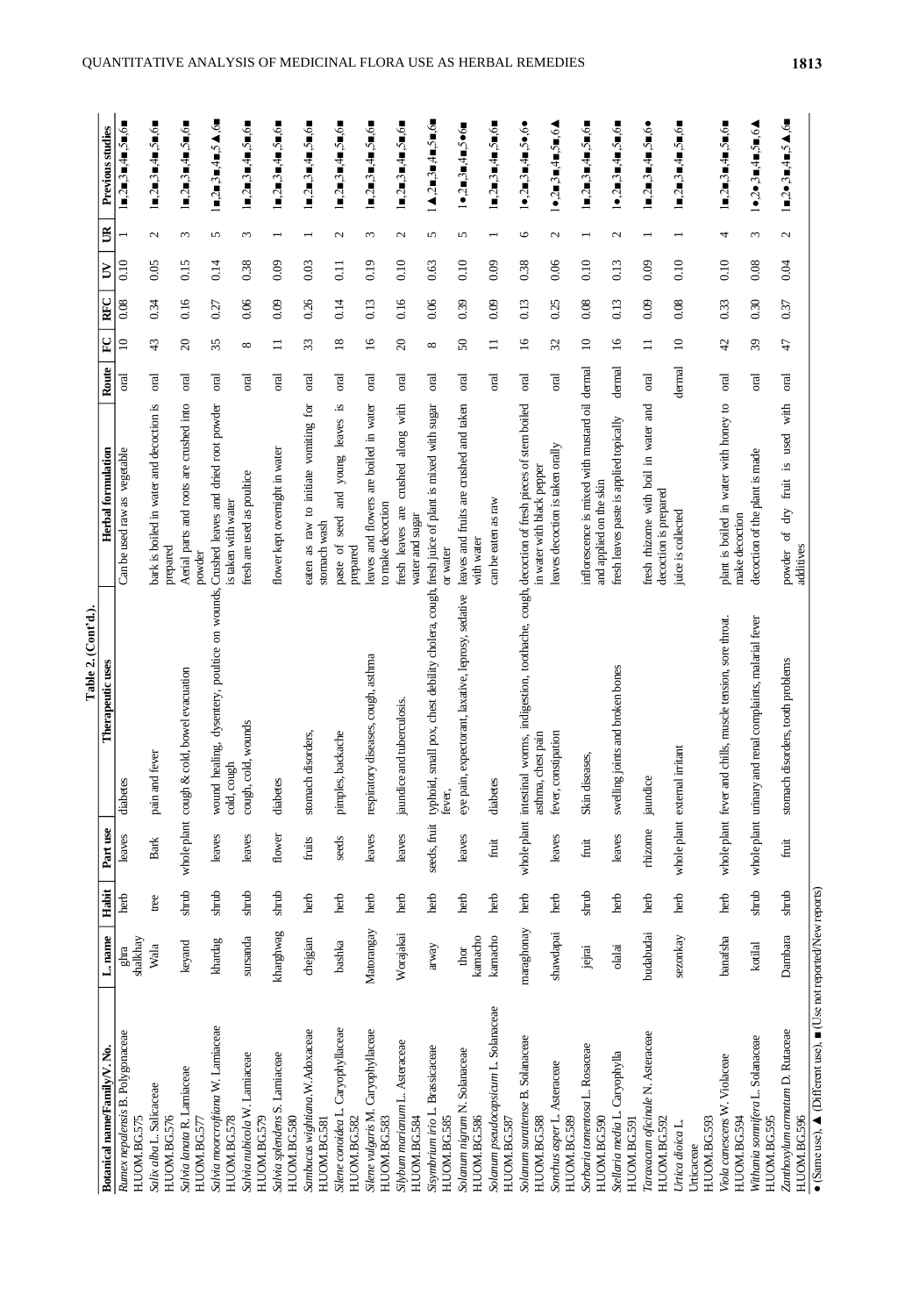|                                                                                                      |                  |                  |                   | Table 2. (Cont'd.).                                                                                                         |                                                                           |                |                 |      |                                   |                                                                                                             |
|------------------------------------------------------------------------------------------------------|------------------|------------------|-------------------|-----------------------------------------------------------------------------------------------------------------------------|---------------------------------------------------------------------------|----------------|-----------------|------|-----------------------------------|-------------------------------------------------------------------------------------------------------------|
| Botanical name/Family/V.No.                                                                          | L. name          | Habit            | Part use          | Therapeutic uses                                                                                                            | Herbal formulation                                                        | Route          | $\Gamma$        | RFC  | $\mathbb{B}$<br>₿                 | Previous studies                                                                                            |
| Rumex nepalensis B. Polygonaceae<br>H.UOM.BG.575                                                     | shalkhay<br>ghra | herb             | leaves            | diabetes                                                                                                                    | Can be used raw as vegetable                                              | oral           | $\Xi$           | 0.08 | 0.10                              | $\blacksquare$ ,2 $\blacksquare$ ,3 $\blacksquare$ ,4 $\blacksquare$ ,5 $\blacksquare$ ,6 $\blacksquare$    |
| Salix alba L. Salicaceae<br>H.UOM.BG.576                                                             | Wala             | $_{\text{tree}}$ | Bark              | pain and fever                                                                                                              | bark is boiled in water and decoction is<br>prepared                      | oral           | 43              | 0.34 | $\mathcal{L}$<br>0.05             | $1 = 2 = 3 = 4 = 5 = 6$                                                                                     |
| Salvia lanata R. Lamiaceae<br>H.UOM.BG.577                                                           | keyand           | shrub            | whole plant cough | & cold, bowel evacuation                                                                                                    | Aerial parts and roots are crushed into<br>powder                         | oral           | $\Omega$        | 0.16 | $\epsilon$<br>0.15                | $1 = 2 = 3 = 4 = 5 = 6$                                                                                     |
| Salvia moorcroftiana W. Lamiaceae<br>H.UOM.BG.578                                                    | khardag          | shrub            | leaves            | wound healing, dysentery, poultice on wounds, Crushed leaves and dried root powder<br>cold, cough                           | is taken with water                                                       | oral           | 35              | 0.27 | 5<br>0.14                         | $1 = 2 = 3 = 4 = 5 \blacktriangle$ ,6                                                                       |
| Salvia nubicola W. Lamiaceae<br>H.UOM.BG.579                                                         | sursanda         | shrub            | leaves            | cough, cold, wounds                                                                                                         | fresh are used as poultice                                                | <b>Tal</b>     | ${}^{\circ}$    | 0.06 | $\epsilon$<br>0.38                | 1∎,2∎,3∎,4∎,5∎,6∎                                                                                           |
| Salvia splendens S. Lamiaceae<br>H.UOM.BG.580                                                        | kharghwag        | shrub            | flower            | diabetes                                                                                                                    | flower kept overnight in water                                            | oral           | $\Box$          | 0.09 | 0.09                              | $1 = 2 = 3 = 4 = 5 = 6$                                                                                     |
| Sambucus wightiana.W.Adoxaceae<br>H.UOM.BG.581                                                       | chejgian         | herb             | fruits            | stomach disorders,                                                                                                          | $f$ or<br>as raw to initiate vomiting<br>stomach wash<br>eaten            | oral           | 33              | 0.26 | 0.03                              | $1 = 2 = 3 = 4 = 5 = 6$                                                                                     |
| Silene conoidea L. Caryophyllaceae<br>H.UOM.BG.582                                                   | bashka           | herb             | seeds             | pimples, backache                                                                                                           | . ఇ<br>leaves<br>young<br>and<br>seed<br>paste of<br>prepared             | oral           | 18              | 0.14 | $\mathbf{c}$<br>$\overline{0.11}$ | $1 = 2 = 3 = 4 = 5 = 6$                                                                                     |
| Silene vulgaris M. Caryophyllaceae<br>H.UOM.BG.583                                                   | Matorangay       | herb             | leaves            | respiratory diseases, cough, asthma                                                                                         | leaves and flowers are boiled in water<br>to make decoction               | oral           | $\overline{16}$ | 0.13 | $\epsilon$<br>0.19                | $1 = 2 = 3 = 4 = 5 = 6$                                                                                     |
| Silybum marianum L. Asteraceae<br>H.UOM.BG.584                                                       | Worajakai        | herb             | leaves            | ce and tuberculosis.<br>jaundi                                                                                              | along with<br>crushed<br>fresh leaves are<br>water and sugar              | oral           | $\Omega$        | 0.16 | $\mathcal{L}$<br>0.10             | $1 = 2 = 3 = 4 = 5 = 6$                                                                                     |
| Sisymbrium irio L. Brassicaceae<br>H.UOM.BG.585                                                      | arway            | herb             |                   | seeds, fruit typhoid, small pox, chest debility cholera, cough, fresh juice of plant is mixed with sugar<br>fever,          | or water                                                                  | oral           | ${}^{\circ}$    | 0.06 | 5<br>0.63                         | $1\blacktriangle$ ,2 $\blacksquare$ ,3 $\blacksquare$ ,4 $\blacksquare$ ,5 $\blacksquare$ ,6 $\blacksquare$ |
| Solanum nigrum N. Solanaceae<br>H.UOM.BG.586                                                         | kamacho<br>thor  | herb             | leaves            | eye pain, expectorant, laxative, leprosy, sedative                                                                          | leaves and fruits are crushed and taken<br>with water                     | <sub>ora</sub> | ${\bf S}$       | 0.39 | 5<br>0.10                         | 1●,2■,3■,4■,5●6■                                                                                            |
| Solanum pseudocapsicum L. Solanaceae<br>H.UOM.BG.587                                                 | kamacho          | herb             | fruit             | diabetes                                                                                                                    | can be eaten as raw                                                       | оral           | $\equiv$        | 0.09 | $\overline{ }$<br>0.09            | $1\blacksquare,2\blacksquare,3\blacksquare,4\blacksquare,5\blacksquare,6\blacksquare$                       |
| Solanum surattense B. Solanaceae<br>H.UOM.BG.588                                                     | maraghonay       | herb             |                   | whole plant intestinal worms, indigestion, toothache, cough, decoction of fresh pieces of stem boiled<br>asthma, chest pain | in water with black pepper                                                | oral           | $\overline{16}$ | 0.13 | $\circ$<br>0.38                   | $1\bullet$ , $2\blacksquare$ , $3\blacksquare$ , $5\bullet$ , $6\bullet$                                    |
| Sonchus asper L. Asteraceae<br>H.UOM.BG.589                                                          | shawdapai        | herb             | leaves            | constipation<br>fever,                                                                                                      | leaves decoction is taken orally                                          | oral           | $\mathcal{Z}$   | 0.25 | $\mathcal{L}$<br>0.06             | $1\bullet$ , $2\blacksquare$ , $3\blacksquare$ , $4\blacksquare$ , $5\blacksquare$ , $6\blacktriangle$      |
| Sorbaria tomentosa L. Rosaceae<br>H.UOM.BG.590                                                       | jejrai           | shrub            | fruit             | Skin diseases,                                                                                                              | inflorescence is mixed with mustard oil dermal<br>and applied on the skin |                | $\supseteq$     | 0.08 | 0.10                              | 1∎,2∎,3∎,4∎,5∎,6∎                                                                                           |
| Stellaria media L. Caryophylla<br>H.UOM.BG.591                                                       | olalai           | herb             | leaves            | swelling joints and broken bones                                                                                            | fresh leaves paste is applied topically                                   | dermal         | $\tilde{=}$     | 0.13 | $\mathbf{\Omega}$<br>0.13         | $1\bullet$ , $2\blacksquare$ , $3\blacksquare$ , $4\blacksquare$ , $5\blacksquare$ , $6\blacksquare$        |
| Taraxacum oficirale N. Asteraceae<br>H.UOM.BG.592                                                    | budabudai        | herb             | rhizome           | jaundice                                                                                                                    | fresh rhizome with boil in water and<br>decoction is prepared             | oral           | $\Box$          | 0.09 | 0.09                              | 1∎,2■,3■,4■,5■,6●                                                                                           |
| H.UOM.BG.593<br>Urtica dioica L.<br>Urticaceae                                                       | sezonkay         | herb             |                   | whole plant external irritant                                                                                               | juice is collected                                                        | dermal         | $\Xi$           | 0.08 | 0.10                              | $1 = 2 = 3 = 4 = 5 = 6$                                                                                     |
| Viola canescens W. Violaceae<br>H.UOM.BG.594                                                         | banafsha         | herb             |                   | whole plant fever and chills, muscle tension, sore throat.                                                                  | plant is boiled in water with honey to<br>make decoction                  | oral           | $4^{\circ}$     | 0.33 | 4<br>0.10                         | $1 = 2 = 3 = 4 = 5 = 6$                                                                                     |
| Withania somnifera L. Solanaceae<br>H.UOM.BG.595                                                     | kotilal          | shrub            |                   | whole plant urinary and renal complaints, malarial fever                                                                    | decoction of the plant is made                                            | σral           | $\mathfrak{H}$  | 0.30 | $\omega$<br>0.08                  | $1\bullet,2\bullet,3\blacksquare,4\blacksquare,5\blacksquare,6\blacktriangle$                               |
| Zanthoxylum armatum D. Rutaceae<br>H.UOM.BG.596                                                      | Dambara          | shrub            | Íuit              | stomach disorders, tooth problems                                                                                           | with<br>used<br>Σ.<br>fruit<br>dry<br>đ<br>additives<br>powder            | oral           | 47              | 0.37 | $\mathcal{L}$<br>9.04             | $1 = 2 \cdot 3 = 4 = 5 \cdot 6$                                                                             |
| • (Same use), $\blacktriangle$ (Different use), $\blacktriangleright$ (Use not reported/New reports) |                  |                  |                   |                                                                                                                             |                                                                           |                |                 |      |                                   |                                                                                                             |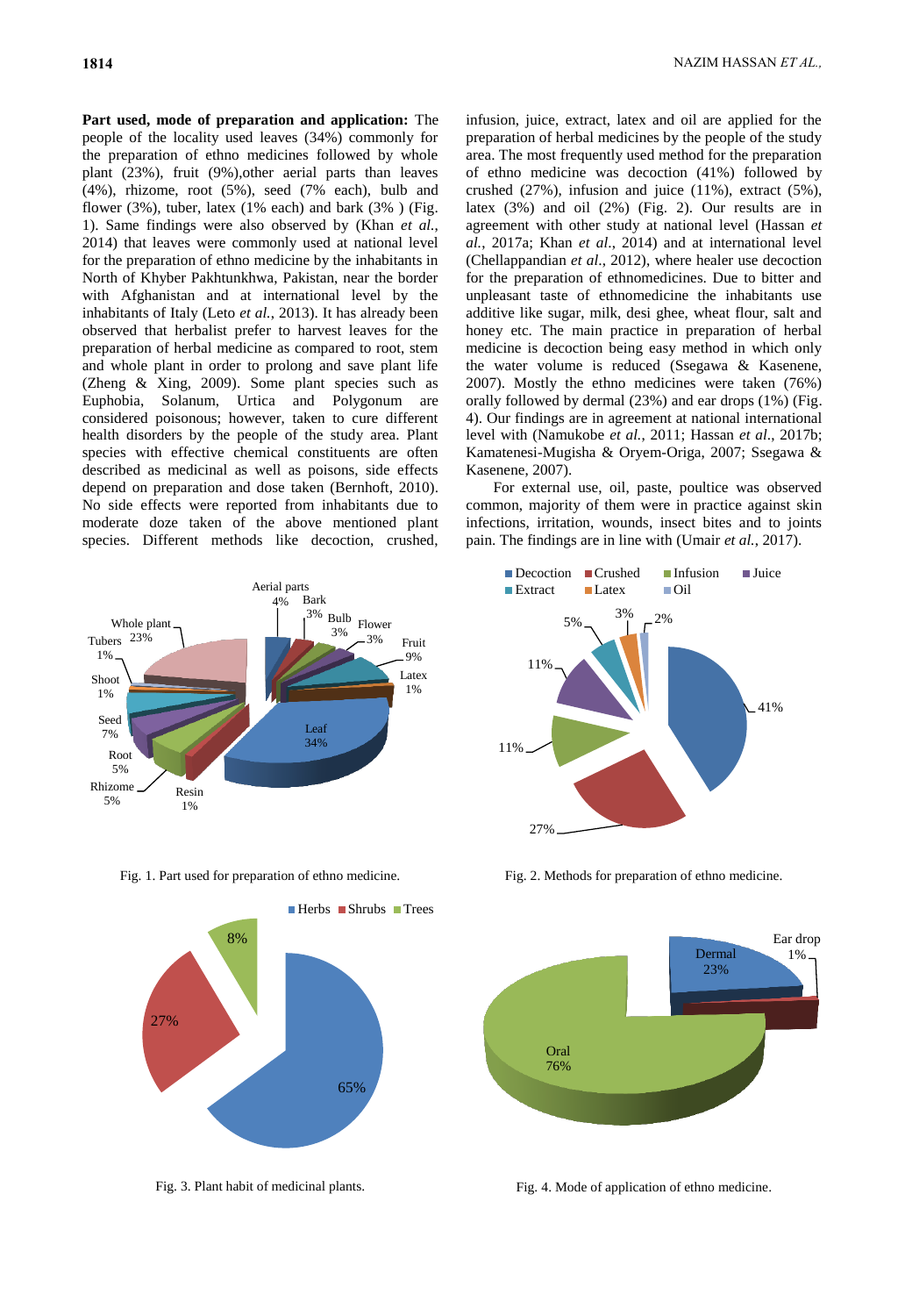**Part used, mode of preparation and application:** The people of the locality used leaves (34%) commonly for the preparation of ethno medicines followed by whole plant (23%), fruit (9%),other aerial parts than leaves (4%), rhizome, root (5%), seed (7% each), bulb and flower (3%), tuber, latex (1% each) and bark (3%) (Fig. 1). Same findings were also observed by (Khan *et al.*, 2014) that leaves were commonly used at national level for the preparation of ethno medicine by the inhabitants in North of Khyber Pakhtunkhwa, Pakistan, near the border with Afghanistan and at international level by the inhabitants of Italy (Leto *et al.*, 2013). It has already been observed that herbalist prefer to harvest leaves for the preparation of herbal medicine as compared to root, stem and whole plant in order to prolong and save plant life (Zheng & Xing, 2009). Some plant species such as Euphobia, Solanum, Urtica and Polygonum are considered poisonous; however, taken to cure different health disorders by the people of the study area. Plant species with effective chemical constituents are often described as medicinal as well as poisons, side effects depend on preparation and dose taken (Bernhoft, 2010). No side effects were reported from inhabitants due to moderate doze taken of the above mentioned plant species. Different methods like decoction, crushed,





infusion, juice, extract, latex and oil are applied for the preparation of herbal medicines by the people of the study area. The most frequently used method for the preparation of ethno medicine was decoction (41%) followed by crushed (27%), infusion and juice (11%), extract (5%), latex (3%) and oil (2%) (Fig. 2). Our results are in agreement with other study at national level (Hassan *et al.*, 2017a; Khan *et al*., 2014) and at international level (Chellappandian *et al*., 2012), where healer use decoction for the preparation of ethnomedicines. Due to bitter and unpleasant taste of ethnomedicine the inhabitants use additive like sugar, milk, desi ghee, wheat flour, salt and honey etc. The main practice in preparation of herbal medicine is decoction being easy method in which only the water volume is reduced (Ssegawa & Kasenene, 2007). Mostly the ethno medicines were taken (76%) orally followed by dermal (23%) and ear drops (1%) (Fig. 4). Our findings are in agreement at national international level with (Namukobe *et al.*, 2011; Hassan *et al*., 2017b; Kamatenesi-Mugisha & Oryem-Origa, 2007; Ssegawa & Kasenene, 2007).

For external use, oil, paste, poultice was observed common, majority of them were in practice against skin infections, irritation, wounds, insect bites and to joints pain. The findings are in line with (Umair *et al.*, 2017).



Fig. 1. Part used for preparation of ethno medicine. Fig. 2. Methods for preparation of ethno medicine.



Fig. 3. Plant habit of medicinal plants. Fig. 4. Mode of application of ethno medicine.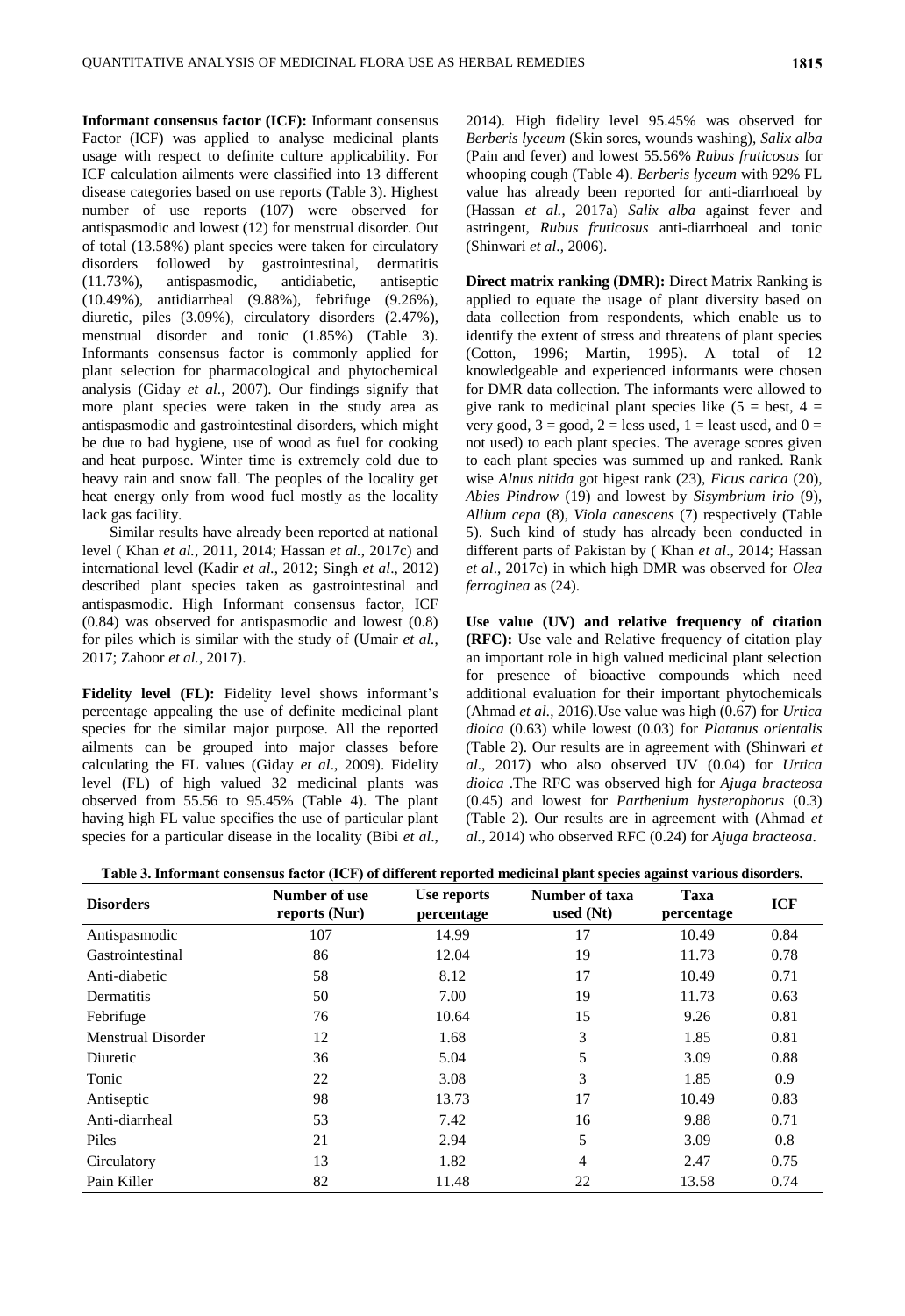**Informant consensus factor (ICF):** Informant consensus Factor (ICF) was applied to analyse medicinal plants usage with respect to definite culture applicability. For ICF calculation ailments were classified into 13 different disease categories based on use reports (Table 3). Highest number of use reports (107) were observed for antispasmodic and lowest (12) for menstrual disorder. Out of total (13.58%) plant species were taken for circulatory disorders followed by gastrointestinal, dermatitis (11.73%), antispasmodic, antidiabetic, antiseptic (10.49%), antidiarrheal (9.88%), febrifuge (9.26%), diuretic, piles (3.09%), circulatory disorders (2.47%), menstrual disorder and tonic (1.85%) (Table 3). Informants consensus factor is commonly applied for plant selection for pharmacological and phytochemical analysis (Giday *et al*., 2007). Our findings signify that more plant species were taken in the study area as antispasmodic and gastrointestinal disorders, which might be due to bad hygiene, use of wood as fuel for cooking and heat purpose. Winter time is extremely cold due to heavy rain and snow fall. The peoples of the locality get heat energy only from wood fuel mostly as the locality lack gas facility.

Similar results have already been reported at national level ( Khan *et al.*, 2011, 2014; Hassan *et al.*, 2017c) and international level (Kadir *et al.*, 2012; Singh *et al*., 2012) described plant species taken as gastrointestinal and antispasmodic. High Informant consensus factor, ICF (0.84) was observed for antispasmodic and lowest (0.8) for piles which is similar with the study of (Umair *et al.*, 2017; Zahoor *et al.*, 2017).

**Fidelity level (FL):** Fidelity level shows informant's percentage appealing the use of definite medicinal plant species for the similar major purpose. All the reported ailments can be grouped into major classes before calculating the FL values (Giday *et al*., 2009). Fidelity level (FL) of high valued 32 medicinal plants was observed from 55.56 to 95.45% (Table 4). The plant having high FL value specifies the use of particular plant species for a particular disease in the locality (Bibi *et al*.,

2014). High fidelity level 95.45% was observed for *Berberis lyceum* (Skin sores, wounds washing), *Salix alba* (Pain and fever) and lowest 55.56% *Rubus fruticosus* for whooping cough (Table 4). *Berberis lyceum* with 92% FL value has already been reported for anti-diarrhoeal by (Hassan *et al.*, 2017a) *Salix alba* against fever and astringent, *Rubus fruticosus* anti-diarrhoeal and tonic (Shinwari *et al*., 2006).

**Direct matrix ranking (DMR):** Direct Matrix Ranking is applied to equate the usage of plant diversity based on data collection from respondents, which enable us to identify the extent of stress and threatens of plant species (Cotton, 1996; Martin, 1995). A total of 12 knowledgeable and experienced informants were chosen for DMR data collection. The informants were allowed to give rank to medicinal plant species like  $(5 = best, 4 =$ very good,  $3 = \text{good}$ ,  $2 = \text{less used}$ ,  $1 = \text{least used}$ , and  $0 =$ not used) to each plant species. The average scores given to each plant species was summed up and ranked. Rank wise *Alnus nitida* got higest rank (23), *Ficus carica* (20), *Abies Pindrow* (19) and lowest by *Sisymbrium irio* (9), *Allium cepa* (8), *Viola canescens* (7) respectively (Table 5). Such kind of study has already been conducted in different parts of Pakistan by ( Khan *et al*., 2014; Hassan *et al*., 2017c) in which high DMR was observed for *Olea ferroginea* as (24).

**Use value (UV) and relative frequency of citation (RFC):** Use vale and Relative frequency of citation play an important role in high valued medicinal plant selection for presence of bioactive compounds which need additional evaluation for their important phytochemicals (Ahmad *et al.*, 2016).Use value was high (0.67) for *Urtica dioica* (0.63) while lowest (0.03) for *Platanus orientalis* (Table 2). Our results are in agreement with (Shinwari *et al*., 2017) who also observed UV (0.04) for *Urtica dioica* .The RFC was observed high for *Ajuga bracteosa* (0.45) and lowest for *Parthenium hysterophorus* (0.3) (Table 2). Our results are in agreement with (Ahmad *et al.*, 2014) who observed RFC (0.24) for *Ajuga bracteosa*.

| Table 3. Informant consensus factor (ICF) of different reported medicinal plant species against various disorders. |                                |                           |                               |                    |            |
|--------------------------------------------------------------------------------------------------------------------|--------------------------------|---------------------------|-------------------------------|--------------------|------------|
| <b>Disorders</b>                                                                                                   | Number of use<br>reports (Nur) | Use reports<br>percentage | Number of taxa<br>used $(Nt)$ | Taxa<br>percentage | <b>ICF</b> |
| Antispasmodic                                                                                                      | 107                            | 14.99                     |                               | 10.49              | 0.84       |

| <b>Disorders</b>   | reports (Nur) | percentage | used $(Nt)$ | percentage | TCF. |
|--------------------|---------------|------------|-------------|------------|------|
| Antispasmodic      | 107           | 14.99      | 17          | 10.49      | 0.84 |
| Gastrointestinal   | 86            | 12.04      | 19          | 11.73      | 0.78 |
| Anti-diabetic      | 58            | 8.12       | 17          | 10.49      | 0.71 |
| Dermatitis         | 50            | 7.00       | 19          | 11.73      | 0.63 |
| Febrifuge          | 76            | 10.64      | 15          | 9.26       | 0.81 |
| Menstrual Disorder | 12            | 1.68       | 3           | 1.85       | 0.81 |
| Diuretic           | 36            | 5.04       | 5           | 3.09       | 0.88 |
| Tonic              | 22            | 3.08       | 3           | 1.85       | 0.9  |
| Antiseptic         | 98            | 13.73      | 17          | 10.49      | 0.83 |
| Anti-diarrheal     | 53            | 7.42       | 16          | 9.88       | 0.71 |
| Piles              | 21            | 2.94       | 5           | 3.09       | 0.8  |
| Circulatory        | 13            | 1.82       | 4           | 2.47       | 0.75 |
| Pain Killer        | 82            | 11.48      | 22          | 13.58      | 0.74 |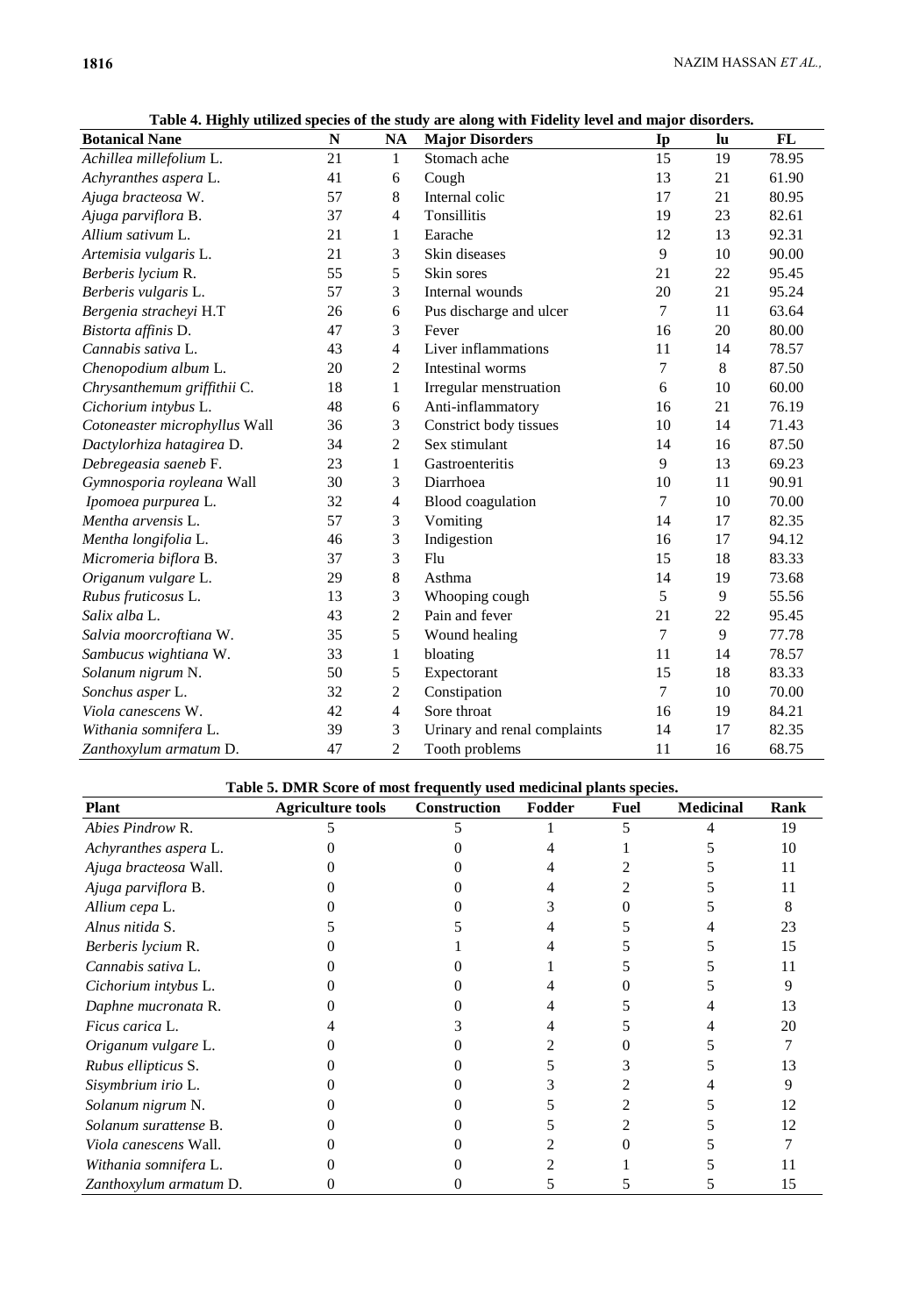|                               |    |                | radic - , rhymf annetu species or inc staty are along with rittenty rever and major disorders. |        |    |       |
|-------------------------------|----|----------------|------------------------------------------------------------------------------------------------|--------|----|-------|
| <b>Botanical Nane</b>         | N  | <b>NA</b>      | <b>Major Disorders</b>                                                                         | Ip     | lu | FL    |
| Achillea millefolium L.       | 21 | 1              | Stomach ache                                                                                   | 15     | 19 | 78.95 |
| Achyranthes aspera L.         | 41 | 6              | Cough                                                                                          | 13     | 21 | 61.90 |
| Ajuga bracteosa W.            | 57 | 8              | Internal colic                                                                                 | 17     | 21 | 80.95 |
| Ajuga parviflora B.           | 37 | $\overline{4}$ | Tonsillitis                                                                                    | 19     | 23 | 82.61 |
| Allium sativum L.             | 21 | 1              | Earache                                                                                        | 12     | 13 | 92.31 |
| Artemisia vulgaris L.         | 21 | 3              | Skin diseases                                                                                  | 9      | 10 | 90.00 |
| Berberis lycium R.            | 55 | 5              | Skin sores                                                                                     | 21     | 22 | 95.45 |
| Berberis vulgaris L.          | 57 | 3              | Internal wounds                                                                                | 20     | 21 | 95.24 |
| Bergenia stracheyi H.T        | 26 | 6              | Pus discharge and ulcer                                                                        | 7      | 11 | 63.64 |
| Bistorta affinis D.           | 47 | 3              | Fever                                                                                          | 16     | 20 | 80.00 |
| Cannabis sativa L.            | 43 | 4              | Liver inflammations                                                                            | 11     | 14 | 78.57 |
| Chenopodium album L.          | 20 | 2              | Intestinal worms                                                                               | 7      | 8  | 87.50 |
| Chrysanthemum griffithii C.   | 18 | 1              | Irregular menstruation                                                                         | 6      | 10 | 60.00 |
| Cichorium intybus L.          | 48 | 6              | Anti-inflammatory                                                                              | 16     | 21 | 76.19 |
| Cotoneaster microphyllus Wall | 36 | 3              | Constrict body tissues                                                                         | 10     | 14 | 71.43 |
| Dactylorhiza hatagirea D.     | 34 | $\overline{c}$ | Sex stimulant                                                                                  | 14     | 16 | 87.50 |
| Debregeasia saeneb F.         | 23 | 1              | Gastroenteritis                                                                                | 9      | 13 | 69.23 |
| Gymnosporia royleana Wall     | 30 | 3              | Diarrhoea                                                                                      | 10     | 11 | 90.91 |
| Ipomoea purpurea L.           | 32 | 4              | <b>Blood</b> coagulation                                                                       | 7      | 10 | 70.00 |
| Mentha arvensis L.            | 57 | 3              | Vomiting                                                                                       | 14     | 17 | 82.35 |
| Mentha longifolia L.          | 46 | 3              | Indigestion                                                                                    | 16     | 17 | 94.12 |
| Micromeria biflora B.         | 37 | 3              | Flu                                                                                            | 15     | 18 | 83.33 |
| Origanum vulgare L.           | 29 | 8              | Asthma                                                                                         | 14     | 19 | 73.68 |
| Rubus fruticosus L.           | 13 | 3              | Whooping cough                                                                                 | 5      | 9  | 55.56 |
| Salix alba L.                 | 43 | $\overline{c}$ | Pain and fever                                                                                 | 21     | 22 | 95.45 |
| Salvia moorcroftiana W.       | 35 | 5              | Wound healing                                                                                  | 7      | 9  | 77.78 |
| Sambucus wightiana W.         | 33 | $\mathbf{1}$   | bloating                                                                                       | 11     | 14 | 78.57 |
| Solanum nigrum N.             | 50 | 5              | Expectorant                                                                                    | 15     | 18 | 83.33 |
| Sonchus asper L.              | 32 | $\overline{c}$ | Constipation                                                                                   | $\tau$ | 10 | 70.00 |
| Viola canescens W.            | 42 | 4              | Sore throat                                                                                    | 16     | 19 | 84.21 |
| Withania somnifera L.         | 39 | 3              | Urinary and renal complaints                                                                   | 14     | 17 | 82.35 |
| Zanthoxylum armatum D.        | 47 | $\overline{2}$ | Tooth problems                                                                                 | 11     | 16 | 68.75 |

**Table 4. Highly utilized species of the study are along with Fidelity level and major disorders.**

# **Table 5. DMR Score of most frequently used medicinal plants species.**

| <b>Plant</b>           | <b>Agriculture tools</b> | <b>Construction</b> | Fodder | <b>Fuel</b> | <b>Medicinal</b> | Rank |
|------------------------|--------------------------|---------------------|--------|-------------|------------------|------|
| Abies Pindrow R.       |                          |                     |        |             |                  | 19   |
| Achyranthes aspera L.  |                          |                     |        |             |                  | 10   |
| Ajuga bracteosa Wall.  |                          |                     |        |             |                  | 11   |
| Ajuga parviflora B.    |                          |                     |        |             |                  | 11   |
| Allium cepa L.         |                          |                     |        |             |                  | 8    |
| Alnus nitida S.        |                          |                     |        |             |                  | 23   |
| Berberis lycium R.     |                          |                     |        |             |                  | 15   |
| Cannabis sativa L.     |                          |                     |        |             |                  | 11   |
| Cichorium intybus L.   |                          |                     |        |             |                  |      |
| Daphne mucronata R.    |                          |                     |        |             |                  | 13   |
| <i>Ficus carica</i> L. |                          |                     |        |             |                  | 20   |
| Origanum vulgare L.    |                          |                     |        |             |                  |      |
| Rubus ellipticus S.    |                          |                     |        |             |                  | 13   |
| Sisymbrium irio L.     |                          |                     |        |             |                  | 9    |
| Solanum nigrum N.      |                          |                     |        |             |                  | 12   |
| Solanum surattense B.  |                          |                     |        |             |                  | 12   |
| Viola canescens Wall.  |                          |                     |        |             |                  |      |
| Withania somnifera L.  |                          |                     |        |             |                  |      |
| Zanthoxylum armatum D. |                          |                     |        |             |                  | 15   |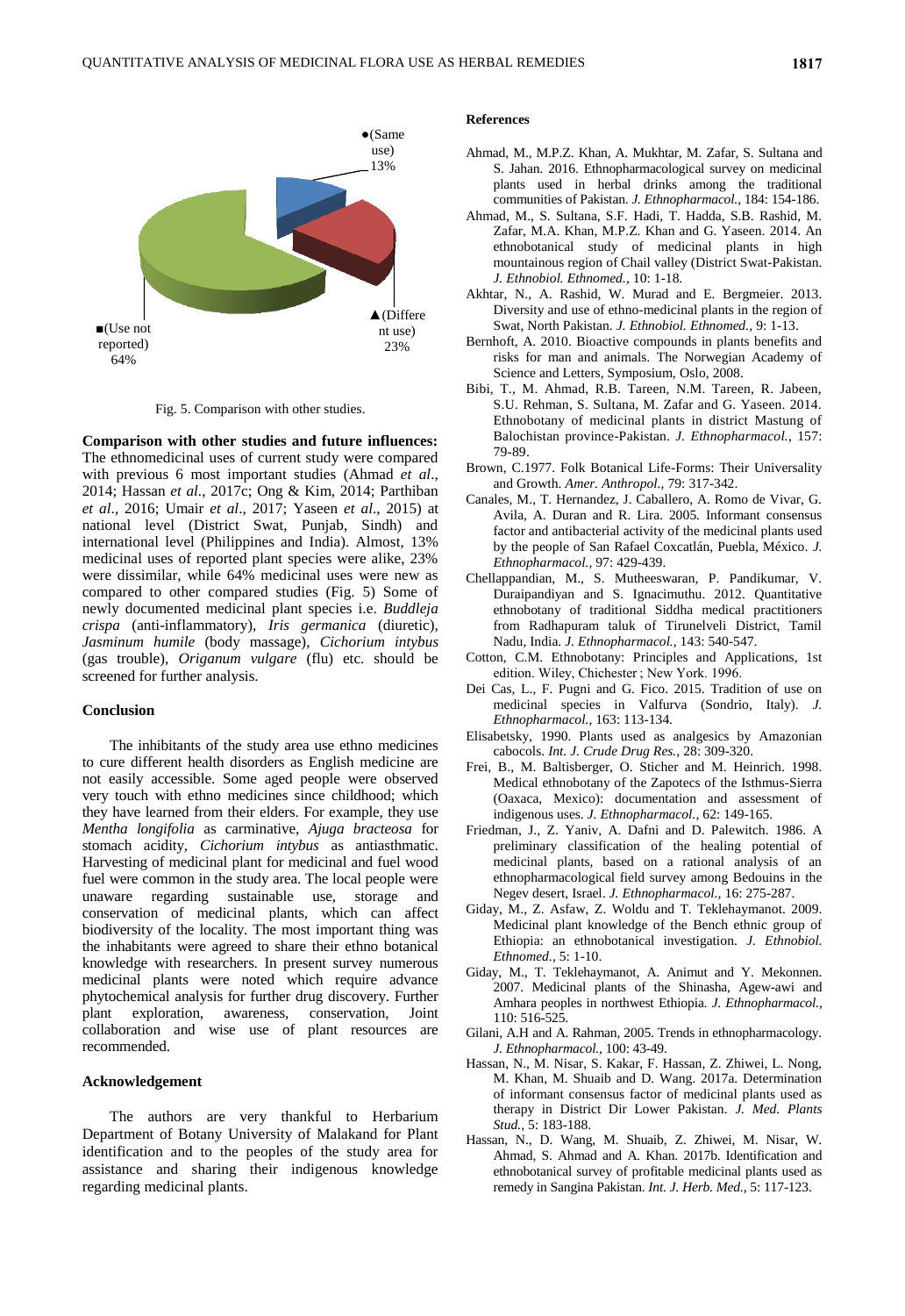

Fig. 5. Comparison with other studies.

**Comparison with other studies and future influences:**  The ethnomedicinal uses of current study were compared with previous 6 most important studies (Ahmad *et al*., 2014; Hassan *et al.*, 2017c; Ong & Kim, 2014; Parthiban *et al*., 2016; Umair *et al*., 2017; Yaseen *et al*., 2015) at national level (District Swat, Punjab, Sindh) and international level (Philippines and India). Almost, 13% medicinal uses of reported plant species were alike, 23% were dissimilar, while 64% medicinal uses were new as compared to other compared studies (Fig. 5) Some of newly documented medicinal plant species i.e. *Buddleja crispa* (anti-inflammatory), *Iris germanica* (diuretic), *Jasminum humile* (body massage), *Cichorium intybus* (gas trouble), *Origanum vulgare* (flu) etc. should be screened for further analysis.

## **Conclusion**

The inhibitants of the study area use ethno medicines to cure different health disorders as English medicine are not easily accessible. Some aged people were observed very touch with ethno medicines since childhood; which they have learned from their elders. For example, they use *Mentha longifolia* as carminative, *Ajuga bracteosa* for stomach acidity, *Cichorium intybus* as antiasthmatic. Harvesting of medicinal plant for medicinal and fuel wood fuel were common in the study area. The local people were unaware regarding sustainable use, storage and conservation of medicinal plants, which can affect biodiversity of the locality. The most important thing was the inhabitants were agreed to share their ethno botanical knowledge with researchers. In present survey numerous medicinal plants were noted which require advance phytochemical analysis for further drug discovery. Further exploration, awareness, conservation, Joint collaboration and wise use of plant resources are recommended.

## **Acknowledgement**

The authors are very thankful to Herbarium Department of Botany University of Malakand for Plant identification and to the peoples of the study area for assistance and sharing their indigenous knowledge regarding medicinal plants.

# **References**

- Ahmad, M., M.P.Z. Khan, A. Mukhtar, M. Zafar, S. Sultana and S. Jahan. 2016. Ethnopharmacological survey on medicinal plants used in herbal drinks among the traditional communities of Pakistan. *J. Ethnopharmacol.,* 184: 154-186.
- Ahmad, M., S. Sultana, S.F. Hadi, T. Hadda, S.B. Rashid, M. Zafar, M.A. Khan, M.P.Z. Khan and G. Yaseen. 2014. An ethnobotanical study of medicinal plants in high mountainous region of Chail valley (District Swat-Pakistan. *J. Ethnobiol. Ethnomed.,* 10: 1-18.
- Akhtar, N., A. Rashid, W. Murad and E. Bergmeier. 2013. Diversity and use of ethno-medicinal plants in the region of Swat, North Pakistan. *J. Ethnobiol. Ethnomed.,* 9: 1-13.
- Bernhoft, A. 2010. Bioactive compounds in plants benefits and risks for man and animals. The Norwegian Academy of Science and Letters, Symposium, Oslo, 2008.
- Bibi, T., M. Ahmad, R.B. Tareen, N.M. Tareen, R. Jabeen, S.U. Rehman, S. Sultana, M. Zafar and G. Yaseen. 2014. Ethnobotany of medicinal plants in district Mastung of Balochistan province-Pakistan. *J. Ethnopharmacol.,* 157: 79-89.
- Brown, C.1977. Folk Botanical Life-Forms: Their Universality and Growth. *Amer. Anthropol.,* 79: 317-342.
- Canales, M., T. Hernandez, J. Caballero, A. Romo de Vivar, G. Avila, A. Duran and R. Lira. 2005. Informant consensus factor and antibacterial activity of the medicinal plants used by the people of San Rafael Coxcatlán, Puebla, México. *J. Ethnopharmacol.,* 97: 429-439.
- Chellappandian, M., S. Mutheeswaran, P. Pandikumar, V. Duraipandiyan and S. Ignacimuthu. 2012. Quantitative ethnobotany of traditional Siddha medical practitioners from Radhapuram taluk of Tirunelveli District, Tamil Nadu, India. *J. Ethnopharmacol.,* 143: 540-547.
- Cotton, C.M. Ethnobotany: Principles and Applications, 1st edition. Wiley, Chichester ; New York. 1996.
- Dei Cas, L., F. Pugni and G. Fico. 2015. Tradition of use on medicinal species in Valfurva (Sondrio, Italy). *J. Ethnopharmacol.,* 163: 113-134.
- Elisabetsky, 1990. Plants used as analgesics by Amazonian cabocols. *Int. J. Crude Drug Res.,* 28: 309-320.
- Frei, B., M. Baltisberger, O. Sticher and M. Heinrich. 1998. Medical ethnobotany of the Zapotecs of the Isthmus-Sierra (Oaxaca, Mexico): documentation and assessment of indigenous uses. *J. Ethnopharmacol.,* 62: 149-165.
- Friedman, J., Z. Yaniv, A. Dafni and D. Palewitch. 1986. A preliminary classification of the healing potential of medicinal plants, based on a rational analysis of an ethnopharmacological field survey among Bedouins in the Negev desert, Israel. *J. Ethnopharmacol.,* 16: 275-287.
- Giday, M., Z. Asfaw, Z. Woldu and T. Teklehaymanot. 2009. Medicinal plant knowledge of the Bench ethnic group of Ethiopia: an ethnobotanical investigation. *J. Ethnobiol. Ethnomed.,* 5: 1-10.
- Giday, M., T. Teklehaymanot, A. Animut and Y. Mekonnen. 2007. Medicinal plants of the Shinasha, Agew-awi and Amhara peoples in northwest Ethiopia. *J. Ethnopharmacol.,* 110: 516-525.
- Gilani, A.H and A. Rahman, 2005. Trends in ethnopharmacology. *J. Ethnopharmacol.,* 100: 43-49.
- Hassan, N., M. Nisar, S. Kakar, F. Hassan, Z. Zhiwei, L. Nong, M. Khan, M. Shuaib and D. Wang. 2017a. Determination of informant consensus factor of medicinal plants used as therapy in District Dir Lower Pakistan. *J. Med. Plants Stud.,* 5: 183-188.
- Hassan, N., D. Wang, M. Shuaib, Z. Zhiwei, M. Nisar, W. Ahmad, S. Ahmad and A. Khan. 2017b. Identification and ethnobotanical survey of profitable medicinal plants used as remedy in Sangina Pakistan. *Int. J. Herb. Med.,* 5: 117-123.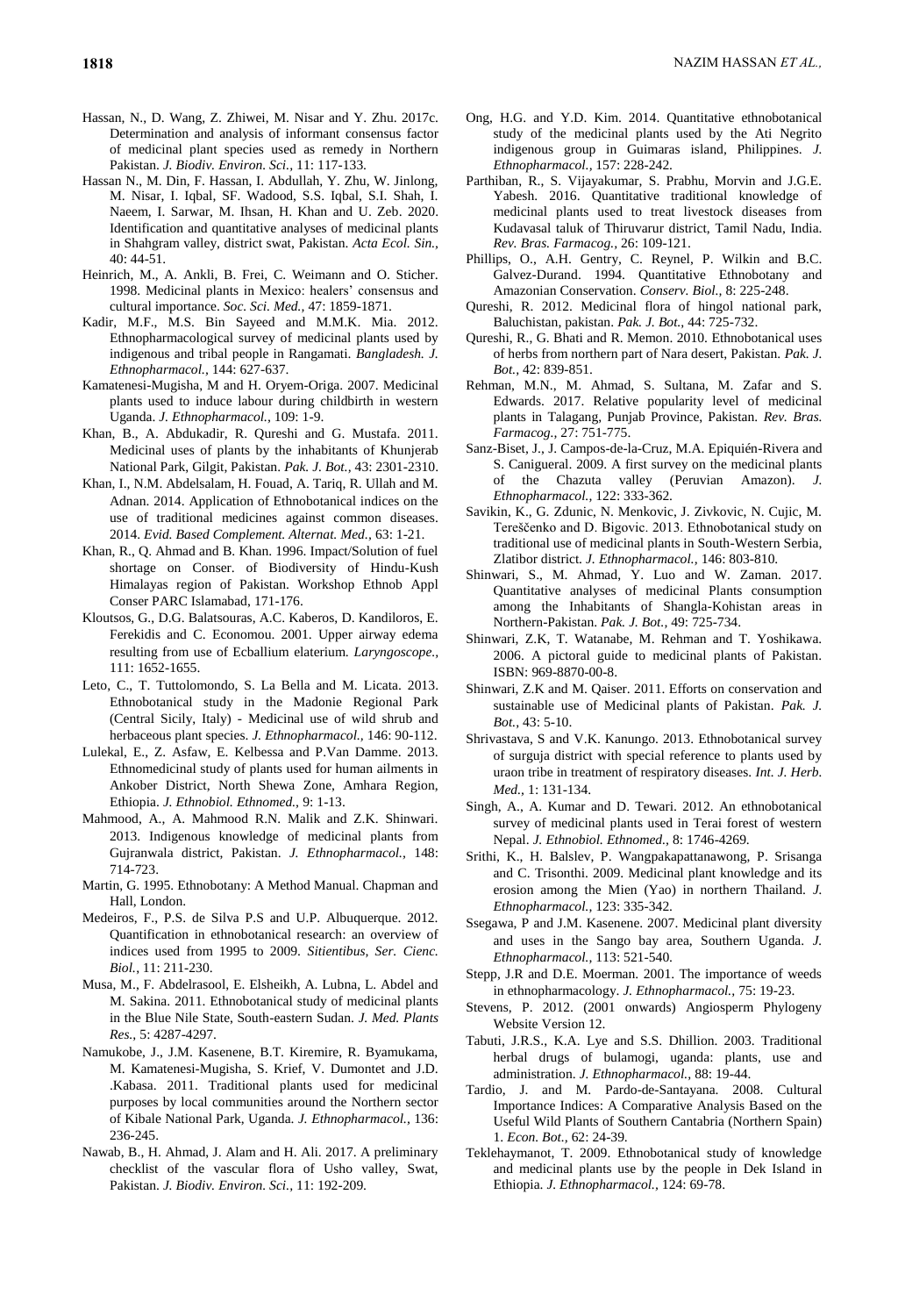- Hassan, N., D. Wang, Z. Zhiwei, M. Nisar and Y. Zhu. 2017c. Determination and analysis of informant consensus factor of medicinal plant species used as remedy in Northern Pakistan. *J. Biodiv. Environ. Sci.,* 11: 117-133.
- Hassan N., M. Din, F. Hassan, I. Abdullah, Y. Zhu, W. Jinlong, M. Nisar, I. Iqbal, SF. Wadood, S.S. Iqbal, S.I. Shah, I. Naeem, I. Sarwar, M. Ihsan, H. Khan and U. Zeb. 2020. Identification and quantitative analyses of medicinal plants in Shahgram valley, district swat, Pakistan. *Acta Ecol. Sin.,* 40: 44-51.
- Heinrich, M., A. Ankli, B. Frei, C. Weimann and O. Sticher. 1998. Medicinal plants in Mexico: healers' consensus and cultural importance. *Soc. Sci. Med.,* 47: 1859-1871.
- Kadir, M.F., M.S. Bin Sayeed and M.M.K. Mia. 2012. Ethnopharmacological survey of medicinal plants used by indigenous and tribal people in Rangamati. *Bangladesh. J. Ethnopharmacol.,* 144: 627-637.
- Kamatenesi-Mugisha, M and H. Oryem-Origa. 2007. Medicinal plants used to induce labour during childbirth in western Uganda. *J. Ethnopharmacol.,* 109: 1-9.
- Khan, B., A. Abdukadir, R. Qureshi and G. Mustafa. 2011. Medicinal uses of plants by the inhabitants of Khunjerab National Park, Gilgit, Pakistan. *Pak. J. Bot.,* 43: 2301-2310.
- Khan, I., N.M. Abdelsalam, H. Fouad, A. Tariq, R. Ullah and M. Adnan. 2014. Application of Ethnobotanical indices on the use of traditional medicines against common diseases. 2014. *Evid. Based Complement. Alternat. Med.,* 63: 1-21.
- Khan, R., Q. Ahmad and B. Khan. 1996. Impact/Solution of fuel shortage on Conser. of Biodiversity of Hindu-Kush Himalayas region of Pakistan. Workshop Ethnob Appl Conser PARC Islamabad, 171-176.
- Kloutsos, G., D.G. Balatsouras, A.C. Kaberos, D. Kandiloros, E. Ferekidis and C. Economou. 2001. Upper airway edema resulting from use of Ecballium elaterium. *Laryngoscope.,* 111: 1652-1655.
- Leto, C., T. Tuttolomondo, S. La Bella and M. Licata. 2013. Ethnobotanical study in the Madonie Regional Park (Central Sicily, Italy) - Medicinal use of wild shrub and herbaceous plant species. *J. Ethnopharmacol.,* 146: 90-112.
- Lulekal, E., Z. Asfaw, E. Kelbessa and P.Van Damme. 2013. Ethnomedicinal study of plants used for human ailments in Ankober District, North Shewa Zone, Amhara Region, Ethiopia. *J. Ethnobiol. Ethnomed.,* 9: 1-13.
- Mahmood, A., A. Mahmood R.N. Malik and Z.K. Shinwari. 2013. Indigenous knowledge of medicinal plants from Gujranwala district, Pakistan. *J. Ethnopharmacol.,* 148: 714-723.
- Martin, G. 1995. Ethnobotany: A Method Manual. Chapman and Hall, London.
- Medeiros, F., P.S. de Silva P.S and U.P. Albuquerque. 2012. Quantification in ethnobotanical research: an overview of indices used from 1995 to 2009. *Sitientibus, Ser. Cienc. Biol.*, 11: 211-230.
- Musa, M., F. Abdelrasool, E. Elsheikh, A. Lubna, L. Abdel and M. Sakina. 2011. Ethnobotanical study of medicinal plants in the Blue Nile State, South-eastern Sudan. *J. Med. Plants Res.,* 5: 4287-4297.
- Namukobe, J., J.M. Kasenene, B.T. Kiremire, R. Byamukama, M. Kamatenesi-Mugisha, S. Krief, V. Dumontet and J.D. .Kabasa. 2011. Traditional plants used for medicinal purposes by local communities around the Northern sector of Kibale National Park, Uganda. *J. Ethnopharmacol.,* 136: 236-245.
- Nawab, B., H. Ahmad, J. Alam and H. Ali. 2017. A preliminary checklist of the vascular flora of Usho valley, Swat, Pakistan. *J. Biodiv. Environ. Sci.,* 11: 192-209.
- Ong, H.G. and Y.D. Kim. 2014. Quantitative ethnobotanical study of the medicinal plants used by the Ati Negrito indigenous group in Guimaras island, Philippines. *J. Ethnopharmacol.,* 157: 228-242.
- Parthiban, R., S. Vijayakumar, S. Prabhu, Morvin and J.G.E. Yabesh. 2016. Quantitative traditional knowledge of medicinal plants used to treat livestock diseases from Kudavasal taluk of Thiruvarur district, Tamil Nadu, India. *Rev. Bras. Farmacog.,* 26: 109-121.
- Phillips, O., A.H. Gentry, C. Reynel, P. Wilkin and B.C. Galvez-Durand. 1994. Quantitative Ethnobotany and Amazonian Conservation. *Conserv. Biol.,* 8: 225-248.
- Qureshi, R. 2012. Medicinal flora of hingol national park, Baluchistan, pakistan. *Pak. J. Bot.,* 44: 725-732.
- Qureshi, R., G. Bhati and R. Memon. 2010. Ethnobotanical uses of herbs from northern part of Nara desert, Pakistan. *Pak. J. Bot.,* 42: 839-851.
- Rehman, M.N., M. Ahmad, S. Sultana, M. Zafar and S. Edwards. 2017. Relative popularity level of medicinal plants in Talagang, Punjab Province, Pakistan. *Rev. Bras. Farmacog.,* 27: 751-775.
- Sanz-Biset, J., J. Campos-de-la-Cruz, M.A. Epiquién-Rivera and S. Canigueral. 2009. A first survey on the medicinal plants of the Chazuta valley (Peruvian Amazon). *J. Ethnopharmacol.,* 122: 333-362.
- Savikin, K., G. Zdunic, N. Menkovic, J. Zivkovic, N. Cujic, M. Tereščenko and D. Bigovic. 2013. Ethnobotanical study on traditional use of medicinal plants in South-Western Serbia, Zlatibor district. *J. Ethnopharmacol.,* 146: 803-810.
- Shinwari, S., M. Ahmad, Y. Luo and W. Zaman. 2017. Quantitative analyses of medicinal Plants consumption among the Inhabitants of Shangla-Kohistan areas in Northern-Pakistan. *Pak. J. Bot.,* 49: 725-734.
- Shinwari, Z.K, T. Watanabe, M. Rehman and T. Yoshikawa. 2006. A pictoral guide to medicinal plants of Pakistan. ISBN: 969-8870-00-8.
- Shinwari, Z.K and M. Qaiser. 2011. Efforts on conservation and sustainable use of Medicinal plants of Pakistan. *Pak. J. Bot.,* 43: 5-10.
- Shrivastava, S and V.K. Kanungo. 2013. Ethnobotanical survey of surguja district with special reference to plants used by uraon tribe in treatment of respiratory diseases. *Int. J. Herb. Med.,* 1: 131-134.
- Singh, A., A. Kumar and D. Tewari. 2012. An ethnobotanical survey of medicinal plants used in Terai forest of western Nepal. *J. Ethnobiol. Ethnomed.,* 8: 1746-4269.
- Srithi, K., H. Balslev, P. Wangpakapattanawong, P. Srisanga and C. Trisonthi. 2009. Medicinal plant knowledge and its erosion among the Mien (Yao) in northern Thailand. *J. Ethnopharmacol.,* 123: 335-342.
- Ssegawa, P and J.M. Kasenene. 2007. Medicinal plant diversity and uses in the Sango bay area, Southern Uganda. *J. Ethnopharmacol.,* 113: 521-540.
- Stepp, J.R and D.E. Moerman. 2001. The importance of weeds in ethnopharmacology. *J. Ethnopharmacol.,* 75: 19-23.
- Stevens, P. 2012. (2001 onwards) Angiosperm Phylogeny Website Version 12.
- Tabuti, J.R.S., K.A. Lye and S.S. Dhillion. 2003. Traditional herbal drugs of bulamogi, uganda: plants, use and administration. *J. Ethnopharmacol.,* 88: 19-44.
- Tardio, J. and M. Pardo-de-Santayana. 2008. Cultural Importance Indices: A Comparative Analysis Based on the Useful Wild Plants of Southern Cantabria (Northern Spain) 1. *Econ. Bot.,* 62: 24-39.
- Teklehaymanot, T. 2009. Ethnobotanical study of knowledge and medicinal plants use by the people in Dek Island in Ethiopia. *J. Ethnopharmacol.,* 124: 69-78.